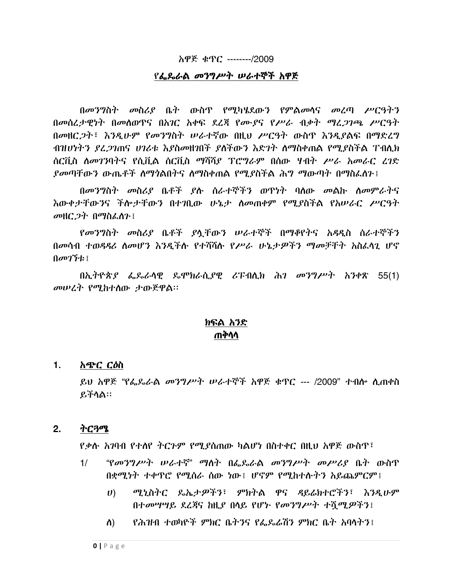## ስዋጅ ቁጥር -------/2009

## የፌጼራል መንግሥት ሠራተኞች አዋጅ

በመንግስት መስሪያ ቤት ውስጥ የሚካሄደውን የምልመሳና መረጣ ሥርዓትን በመሰረታዊነት በመስወዋና በአገር አቀፍ ደረጃ የሙያና የሥራ ብቃት ማረጋገጫ ሥርዓት በመዘር ጋት፤ እንዲሁም የመንግስት ሠራተኛው በዚህ ሥርዓት ውስጥ እንዲያልፍ በማድረግ ብዝሀነትን ደረጋገጠና ሀገሪቱ እያስመዘገበች ያስችውን እድገት ስማስቀጠል የሚያስችል ፐብሊክ ሰርቪስ ስመገንባትና የሲቪል ሰርቪስ ማሻሻያ ፕሮግራም በሰው ሃብት ሥራ አመራር ረገድ *ያመ*ጣቸውን ውጤቶች ስማንልበትና ስማስቀጠል የሚያስችል ሕግ ማውጣት በማስፌስጉ፤

በመንግስት መስሪያ ቤቶች ያሉ ሰራተኞችን ወዋነት ባለው መልኩ ለመምራትና <u>እውቀታቸውንና ችሎታቸውን በተገቢው ሁኔታ ስመጠቀም የሚያስችል የአሠራር ሥርዓት</u> መዘር ጋት በማስፌስን ፤

የመንግስት መስሪያ ቤቶች ያላቸውን ሠራተኞች በማቆየትና አዳዲስ ሰራተኞችን በመሳብ ተወዳዳሪ ስመሆን እንዲችሉ የተሻሻሉ የሥራ ሁኔታዎችን ማመቻቸት አስፌሳጊ ሆኖ  $0$ መገኘቴ $\pm$ 

በኢትዮጵያ ፌጼራሳዊ ዴሞክራሲያዊ ሪፑብሲክ ሕገ መንግሥት አንቀጽ 55(1) መሠረት የሚከተሰው ታውጅዋል።

# ክፍል አንድ ጠቅሳሳ

#### $\mathbf 1$ . አጭር ርዕስ

ይህ አዋጅ "የፌጼራል መንግሥት ሠራተኞች አዋጅ ቁጥር --- /2009" ተብሎ ሲጠቀስ ይችሳል።

#### $2.$ ትርጓሜ

የቃሉ አንባብ የተሰየ ትርጉም የሚያሰጠው ካልሆነ በስተቀር በዚህ አዋጅ ውስጥ፣

- $1/$ "የመንግሥት ሠራተኛ" ማስት በፌዴራል መንግሥት መሥሪያ ቤት ውስጥ በቋሚነት ተቀዋሮ የሚሰራ ሰው ነው፤ ሆኖም የሚከተሱትን አይጨምርም፤
	- ሚኒስትር ጼኤታዎችን፣ ምክትል ዋና ዳይሬክተሮችን፣ እንዲሁም  $\boldsymbol{U}$ በተመሣሣይ ደረጃና ከዚያ በሳይ የሆኑ የመንግሥት ተሻጣዎችን፤
	- የሕዝብ ተወካዮች ምክር ቤት3ና የፌዴሬሽን ምክር ቤት አባላት3፥ ስ) -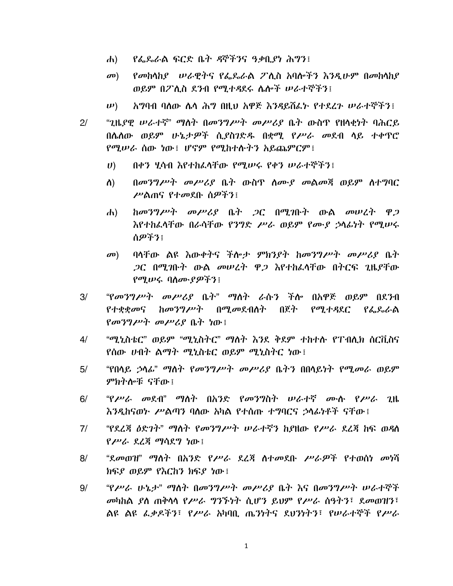- *የፌ*ጼራል ፍርድ ቤት ዳኞችንና ዓቃቢያነ ሕግን፤  $\mathbf{d}$
- የመከላከያ ወራዊትና የፌጼራል ፖሊስ አባሎችን እንዲሁም በመከላከያ  $\mathbf{C}(\mathbf{D})$ ወይም በፖሊስ ደንብ የሚተዳደሩ ሴሎች ሠራተኞችን፤
- $(\boldsymbol{\nu})$ አግባብ ባለው ሴሳ ሕግ በዚህ አዋጅ እንዳይሽፌኑ የተደረጉ ሥራተኞችን፤
- $2/$ "ጊዜያዊ ሠራተኛ" ማስት በመንግሥት መሥሪያ ቤት ውስዋ የዘሳቂነት ባሕርይ በሌሰው ወይም ሁኔታዎች ሲያስንድዱ በቋሚ የሥራ መደብ ሳይ ተቀጥሮ የሚሠራ ሰው ነው፤ ሆኖም የሚከተሱትን አይጨምርም፤
	- በቀን ሂሳብ እየተከፈላቸው የሚሠሩ የቀን ሠራተኞችን፤  $\boldsymbol{U}$
	- በመንግሥት መሥሪያ ቤት ውስጥ ስሙያ መልመጃ ወይም ስተግባር ስ) ሥልጠና የተመደቡ ሰዎችን፤
	- $h$ መንግሥት መሥሪያ ቤት ጋር በሚገቡት ውል መሠረት ዋጋ  $\mathbf{d}$ እየተከፈላቸው በራሳቸው የንግድ ሥራ ወይም የሙያ ኃሳፊነት የሚሠሩ ስዎችን፣
	- ባላቸው ልዩ እውቀትና ችሎታ ምክንያት ከመንግሥት መሥሪያ ቤት  $\mathbf{C}(\mathbf{D})$ *ጋ*ር በሚገቡት ውል መሠረት ዋ*ጋ* እየተከፈሳቸው በትርፍ ጊዜያቸው የሚሠሩ ባስሙያዎችን፤
- $3/$ *"የመንግሥት መሥሪያ* ቤት" ማስት ራሱን ችሎ በአዋጅ ወይም በደንብ የተቋቋመና ከመንግሥት በሚመደብስት በጀት የሚተዳደር የፌ**ጼራል**  $\{a\sigma\}$ ግሥት መሥሪያ ቤት ነው፤
- $4/$ "ሚኒስቴር" ወይም "ሚኒስትር" ማለት እንደ ቅደም ተከተሱ የፐብሊክ ሰርቪስና የሰው ሀብት ልማት ሚኒስቴር ወይም ሚኒስትር ነው፤
- "የበሳይ ኃሳፊ" ማስት የመንግሥት መሥሪያ ቤትን በበሳይነት የሚመራ ወይም  $5/$ ምክትሎቹ ናቸው ፤
- *"የሥራ መ*ደብ" ማስት በአንድ የመንግስት ሠራተኛ ሙሱ የሥራ ጊዜ  $6/$ እንዲከናወኑ ሥልጣን ባለው አካል የተሰጡ ተግባርና ኃላፊነቶች ናቸው ፤
- "የደረጃ ለድ*ገት" ማ*ስት *የመንግሥት ሠራተ*ኛን ከየዘው የ*ሥራ* ደረጃ ከፍ ወዳስ  $7/$ የሥራ ደረጀ ማሳደግ ነው፤
- $8/$ "ደመወዝ" ማስት በአንድ የሥራ ደረጃ ስተመደቡ ሥራዎች የተወሰነ መነሻ ክፍያ ወይም የእርከን ክፍያ ነው ፡
- $9/$ "የሥራ ሁኔታ" ማስት በመንግሥት መሥሪያ ቤት እና በመንግሥት ሠራተኞች መካከል ያለ ጠቅሳሳ የሥራ ግንኙነት ሲሆን ይህም የሥራ ሰዓትን፣ ደመወዝን፣ ልዩ ልዩ ፌቃዶችን፣ የሥራ አካባቢ ጤንነትና ደህንነትን፣ የሠራተኞች የሥራ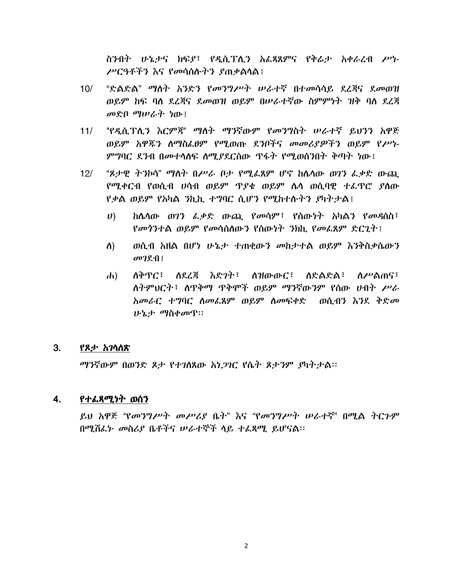ስንብት ሁኔታና ክፍያ፣ የዲሲፕሲን አፌጻጸምና የቅሬታ አቀራረብ ሥነ-ሥርዓቶችን እና የመሳሰሱትን ያጠቃልሳል፤

- $10/$ "ድልድል" ማስት አንድን የመንግሥት ሠራተኛ በተመሳሳይ ደረጃና ደመወዝ ወይም ከፍ ባስ ደረጃና ደመወዝ ወይም በሠራተኛው ስምምነት ዝቅ ባስ ደረጃ መድበ ማሠራት ነው፤
- $11/$ "የዲሲፕሊን እርምጃ" ማለት ማንኛውም የመንግስት ሠራተኛ ይህንን አዋጅ ወይም አዋጁን ስማስፌፀም የሚወጡ ደንቦችና መመሪያዎችን ወይም የሥነ-*ምግ*ባር ደንብ በመተሳሰፍ ስሚያደርሰው ዋፋት የሚወሰንበት ቅጣት ነው፤
- "ጸታዊ ትንኮሳ" ማስት በሥራ ቦታ የሚፌጸም ሆኖ ከሴሳው ወገን ፌቃድ ውጪ  $12/$ የሚቀርብ የወሲብ ሀሳብ ወይም ጥያቄ ወይም ሴሳ ወሲባዊ ተፌዋሮ ያስው የቃል ወይም የአካል ንኪኪ ተግባር ሲሆን የሚከተሱትን ያካትታል፤
	- ከሴሳው ወገን ፌቃድ ውጪ የመሳም፣ የሰውነት አካልን የመዳሰስ፣  $\boldsymbol{U}$ *የመጎንተ*ል ወይም የመሳሰስውን የሰውነት *ን*ክኪ የመፌጸም ድርጊት ፤
	- ወሲብ ስዘል በሆነ ሁኔታ ተጠቂውን መከታተል ወይም እንቅስቃሴውን ስ)  $\omega$   $2\pi$
	- ለቅጥር፣ ለደረጃ እድገት፣ ለዝውውር፣ ለድልድል፣ ስሥልጠና፣  $\mathbf{d}$ ለትምህርት፣ ለጥቅማ ጥቅሞች ወይም ማንኛውንም የሰው ሀብት ሥራ አመራር ተግባር ስመፌጸም ወይም ስመፍቀድ ወሲብን እንደ ቅድመ ሁኔታ ማስቀመዋ።

#### 3. የጾታ አገሳለጽ

*ማን*ኛውም በወንድ ጾታ የተ*ገ*ለጸው *አነጋገ*ር የሴት ጾታንም ያካትታል፡፡

#### 4. የተልጻሚነት ወሰን

ይህ አዋጅ "የመንግሥት መሥሪያ ቤት" እና "የመንግሥት ሠራተኛ" በሚል ትርጉም በሚሽፌኑ መስሪያ ቤቶችና ሠራተኞች ሳይ ተፈጸማ ይሆናል፡፡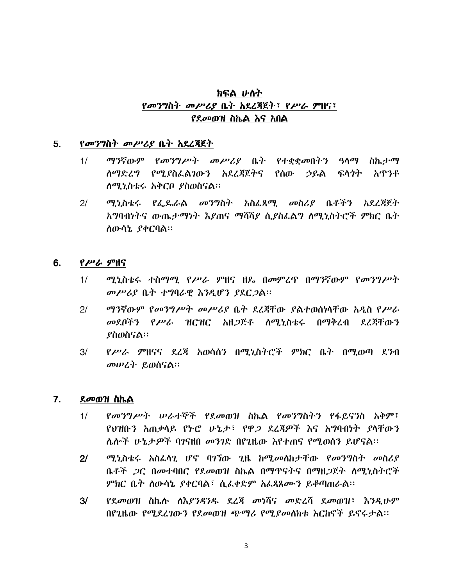# ክፍል ሁለት *የመንግ*ስት *መሥሪያ* ቤት አደረጃጀት፣ የሥራ ምዘና፣ የደመወዝ ስኬል እና አበል

#### $5.$ *የመንግስት መሥሪያ* ቤት አደረጃጀት

- ማንኛውም የመንግሥት መሥሪያ ቤት የተቋቋመበትን ዓላማ ስኬታማ  $1/$ ስማድረግ የሚያስፌልገውን አደረጃጀትና የሰው ኃይል ፍላንት አዋንቶ ለሚኒስቴሩ አቅርቦ ያስወስናል።
- $2<sup>1</sup>$ ሚኒስቴሩ የፌዴራል መንግስት አስፌጻሚ መስሪያ ቤቶችን አደረጃጀት አግባብነትና ውጤታማነት እያጠና ማሻሻያ ሲያስፌልግ ስሚኒስትሮች ምክር ቤት ለውሳኔ ያቀርባል።

#### 6. የሥራ ምዘና

- ሚኒስቴሩ ተስማሚ የሥራ ምዘና ዘዴ በመምረጥ በማንኛውም የመንግሥት  $1/$ መሥሪያ ቤት ተግባራዊ እንዲሆን ያደርጋል።
- ማንኛውም የመንግሥት መሥሪያ ቤት ደረጃቸው ያልተወሰነሳቸው አዲስ የሥራ  $2/$ መደቦችን የ*ሥራ* ዝርዝር አዘ*ጋ*ጅቶ ስሚኒስቴሩ በማቅረብ ደረጃቸውን *የስመስናል*።
- የሥራ ምዘናና ደረጃ አወሳሰን በሚኒስትሮች ምክር ቤት በሚወጣ ደንብ  $3/$ መሠረት ይወሰናል።

#### $7.$ ደመወዝ ስኬል

- *የመንግሥት ሠራተ*ኞች የደመወዝ ስኬል የመንግስትን የፋይናንስ አቅም፣  $1/$ የህዝቡን አጠቃሳይ የኑሮ ሁኔታ፣ የዋጋ ደረጃዎች እና አግባብነት ያሳቸውን ሌሎች ሁኔታዎች ባንናዘበ መንገድ በየጊዜው እየተጠና የሚወሰን ይሆናል።
- $2<sup>1</sup>$ ሚኒስቴሩ አስፌሳጊ ሆኖ ባገኘው ጊዜ ከሚመሰከታቸው የመንግስት መስሪያ ቤቶች *ጋ*ር በመተባበር የደመወዝ ስኬል በማጥናትና በማዘ*ጋ*ጀት ስሚኒስትሮች ምክር ቤት ስውሳኔ ያቀርባል፣ ሲፌቀድም አፌጻጸሙን ይቆጣጠራል፡፡
- የደመወዝ ስኬስ ስእያንዳንዱ ደረጃ መነሻና መድረሻ ደመወዝ፣ እንዲሁም  $3/$ በየጊዜው የሚደረገውን የደመወዝ ጭማሪ የሚደመስክቱ እርከኖች ይኖሩታል።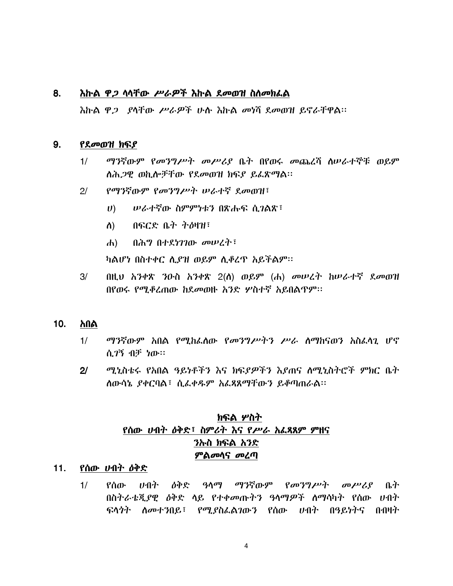#### 8. እኩል ዋ*ጋ* ላላቸው *ሥራዎ*ች እኩል ደመወዝ ስለመክፌል

እኩል ዋ*ጋ ያ*ሳቸው ሥራዎች ሁሉ እኩል መነሻ ደመወዝ ይኖራቸዋል።

#### $9.$ የደመወዝ ክፍያ

- $1/$ ማንኛውም የመንግሥት መሥሪያ ቤት በየወሩ መጨረሻ ስሠራተኞቹ ወይም ስሕ*ጋ*ዊ ወኪሎቻቸው የደመወዝ ክፍያ ይፈጽማል፡፡
- $2/$ የማንኛውም የመንግሥት ሠራተኛ ደመወዝ፣
	- ሠራተኛው ስምምነቱን በጽሑፍ ሲገልጽ፣  $U$ )
	- በፍርድ ቤት ትዕዛዝ፣ ስ)
	- በሕግ በተደነገገው መሠረት፣  $\mathbf{d}$

ካልሆነ በስተቀር ሲያዝ ወይም ሲቆረዋ አይችልም፡፡

በዚህ አንቀጽ ንዑስ አንቀጽ 2(ስ) ወይም (ሐ) መሠረት ከሠራተኛ ደመወዝ  $3/$ በየወሩ የሚቆረጠው ከደመወዙ አንድ ሦስተኛ አይበልጥም፡፡

#### $10.$ አበል

- $1/$ *ማን*ኛውም አበል የሚከፌሰው የ*መንግሥትን ሥራ* ስማከናወን አስፌሳጊ ሆኖ ሲ*ገ*ኝ ብቻ ነው።
- $2/$ ሚኒስቴሩ የአበል ዓይነቶችን እና ክፍደዎችን እደጠና ለሚኒስትሮች ምክር ቤት ሰውሳኔ ያቀርባል፣ ሲፌቀዱም አፌጻጸማቸውን ይቆጣጠራል፡፡

# ክፍል ሦስት የሰው ሀብት ዕቅድ፣ ስምሪት እና የሥራ አፌጻጸም ምዘና ንኡስ ክፍል አንድ ምልመሳና መረጣ

## 11. የሰው *ህ*ብት *ዕቅ*ድ

የሰው ሀብት ዕቅድ ዓላማ ማንኛውም የመንግሥት መሥሪያ ቤት  $1/$ በስትራቴጂያዊ ዕቅድ ሳይ የተቀመጡትን ዓላማዎች ስማሳካት የሰው ሀብት ፍላንት ለመተንበይ፣ የሚያስፌልንውን የሰው ሀብት በዓይነትና በብዛት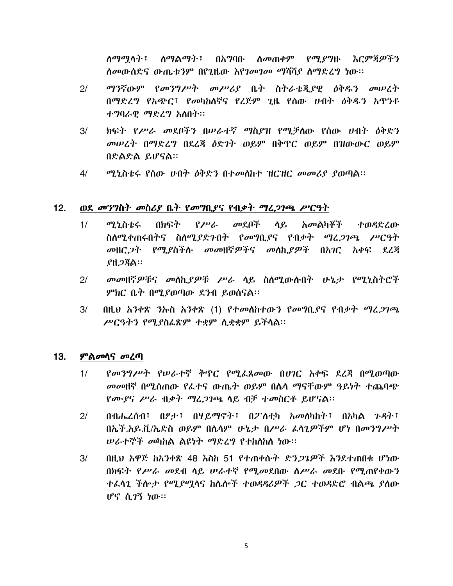ለማማሳት፣ ለማልማት፣ በአግባቡ ለመጠቀም የሚያግዙ እርምጃዎችን *ስመ*ውሰድና ውጤቱንም በየጊዜው *እየገመገመ ማ*ሻሻ*ያ ስማድረግ* ነው።

- $2/$ *ማን*ኛውም የመንግሥት መሥሪያ ቤት ስትራቴጂያዊ ዕቅዱን መሠረት በማድረግ የአጭር፣ የመካከለኛና የረጅም ጊዜ የሰው ሀብት ዕቅዱን አጥንቶ ተግባራዊ ማድረግ አስበት።
- $3/$ ክፍት የሥራ መደቦችን በሠራተኛ ማስያዝ የሚቻለው የሰው ሀብት ዕቅድን መሠረት በማድረግ በደረጃ ዕድገት ወይም በቅጥር ወይም በዝውውር ወይም በድልድል ይሆናል።
- ሚኒስቴሩ የሰው ሀብት ዕቅድን በተመሰከተ ዝርዝር መመሪያ ያወጣል፡፡ 4/

#### $12.$ ወደ መንግስት መስሪያ ቤት የመግቢያና የብቃት ማፈጋገጫ ሥርዓት

- በክፍት የሥራ መደቦች ላይ  $1/$ *ማ*.ኒስቴሩ *አመ*ልካቾች ተወዳድረው ስለሚቀጠሩበትና ስለሚያድንበት የመግቢያና የብቃት ማረ*ጋገ*ጫ ሥርዓት መዘር*ጋት የሚያ*ስችሉ መመዘኛዎችና መለኪያዎች በአ*ገ*ር አቀፍ ደረጃ ያዘ*ጋ*ጃል።
- መመዘኛዎቹና መሰኪያዎቹ ሥራ ሳይ ስለሚውሉበት ሁኔታ የሚኒስትሮች  $2/$ ምክር ቤት በሚያወጣው ደንብ ይወሰናል።
- $3/$ በዚህ አንቀጽ ንኡስ አንቀጽ (1) የተመሰከተውን የመግቢያና የብቃት ማፈ*ጋገ*ጫ ሥርዓትን የሚያስፌጽም ተቋም ሲቋቋም ይችላል።

#### $13.$ **ምልመሳና መረጣ**

- የመንግሥት የሠራተኛ ቅዋር የሚፌጸመው በሀገር አቀፍ ደረጃ በሚወጣው  $1/$ *መመ*ዘኛ በሚሰጠው የፌተና ውጤት ወይም በሌሳ ማናቸውም ዓይነት ተጨባጭ የሙያና ሥራ ብቃት ማፈጋገጫ ሳይ ብቻ ተመስርቶ ይሆናል፡፡
- በብሔረሰብ፣ በፆታ፣ በሃይማኖት፣ በፖስቲካ አመስካከት፣ በአካል ጉዳት፣  $2/$ በኤች.አይ.ሽ/ኤድስ ወይም በሴሳም ሁኔታ በሥራ ፌሳጊዎችም ሆነ በመንግሥት ሠራተኞች መካከል ልዩነት ማድረግ የተከለከለ ነው።
- $3/$ በዚህ አዋጅ ከአንቀጽ 48 እስከ 51 የተጠቀሱት ድን*ጋጌዎች* እንደተጠበቁ ሆነው በክፍት የሥራ መደብ ሳይ ሠራተኛ የሚመደበው ስሥራ መደቡ የሚጠየቀውን *ተል*ሳጊ ችሎ*ታ የሚያሟ*ሳና ከሴሎች ተወዳዳሪዎች *ጋ*ር ተወዳድሮ ብልጫ *ያ*ስው ሆኖ ሲ*ገ*ኝ ነው።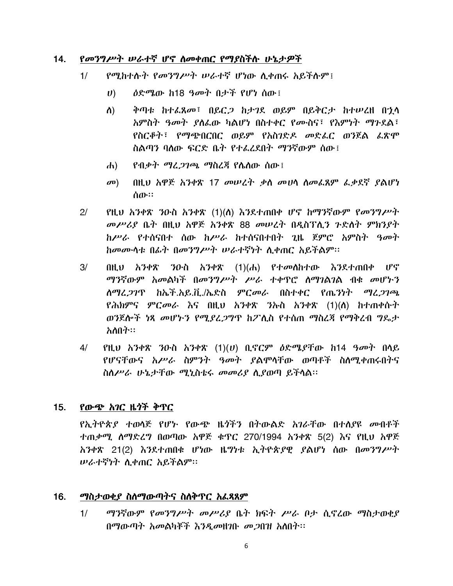#### $14.$ የመንግሥት ሠራተኛ ሆኖ ስመቀጠር የማያስችሱ ሁኔታዎች

- የሚከተሱት የመንግሥት ሠራተኛ ሆነው ሲቀጠሩ አይችሱም!  $1/$ 
	- $\boldsymbol{U}$ *ዕ*ድሜው ከ18 ዓመት በታች የሆነ ሰው፤
	- ቅጣቱ ከተፈጸመ፣ በይር*ጋ* ከታገደ ወይም በይቅርታ ከተሠረዘ በኂሳ ስ) አምስት ዓመት ያሰፌው ካልሆነ በስተቀር የሙስና፣ የእምነት ማጉደል፣ የስርቆት፣ የማጭበርበር ወይም የአስገድዶ መድፌር ወንጀል ፌጽሞ ስልጣን ባለው ፍርድ ቤት የተፈረደበት ማንኛውም ሰው፤
	- <u>የብቃት ማሪ*ጋገ*ጫ ማስረጃ የ</u>ሌስው ሰው፤  $\left| d \right|$
	- $\mathbf{D}$ በዚህ አዋጅ አንቀጽ 17 መሠረት ቃስ መሀሳ ስመፌጸም ፌቃደኛ ያልሆነ ሰው።
- የዚህ አንቀጽ ንዑስ አንቀጽ (1)(ለ) እንደተጠበቀ ሆኖ ከማንኛውም የመንግሥት  $2/$ መሥሪያ ቤት በዚህ አዋጅ አንቀጽ 88 መሠረት በዳስፕሊን ጉድለት ምክንያት ከሥራ የተሰናበተ ሰው ከሥራ ከተሰናበተበት ጊዜ ጀምሮ አምስት ዓመት ከመሙሳቱ በፊት በመንግሥት ሠራተኛነት ሲቀጠር አይችልም፡፡
- $3/$ በዚህ አንቀጽ ንዑስ አንቀጽ (1)(ሐ) የተመለከተው እንደተጠበቀ ሆኖ ማንኛውም አመልካች በመንግሥት ሥራ ተቀጥሮ ሰማገልገል ብቁ መሆኑን ለማሬ*ጋገ*ጥ ከኤች.አይ.ቪ./ኤድስ ምር*መራ* በስተቀር የጤንነት ማሬ*ጋገጫ* የሕክምና ምርመራ እና በዚህ አንቀጽ ንኡስ አንቀጽ (1)(ለ) ከተጠቀሱት ወንጀሎች ነጻ መሆኑን የሚያፈጋግጥ ከፖሊስ የተሰጠ ማስረጃ የማቅረብ ግዴታ አለበት።
- የዚህ አንቀጽ ንዑስ አንቀጽ  $(1)(U)$  ቢኖርም ዕድሜይቸው ከ14 ዓመት በሳይ  $4/$ የሆናቸውና አሥራ ስምንት ዓመት ያልሞላቸው ወጣቶች ስለሚቀጠሩበትና ስስሥራ ሁኔታቸው ሚኒስቴሩ መመሪያ ሲያወጣ ይችላል።

#### $15.$ የውጭ አገር ዜጎች ቅጥር

የኢትዮጵያ ተወሳጅ የሆኑ የውጭ ዜጎችን በትውልድ አገራቸው በተሰያዩ መብቶች ተጠቃሚ ሰማድረግ በወጣው አዋጅ ቁጥር 270/1994 አንቀጽ 5(2) እና የዚህ አዋጅ አንቀጽ 21(2) እንደተጠበቁ ሆነው ዜግነቱ ኢትዮጵያዊ ያልሆነ ሰው በመንግሥት *ሠራተኛነት* ሲቀጠር አይችልም፡፡

#### $16.$ ማስታወቂያ ስስማውጣትና ስስቅጥር አፌጻጸም

ማንኛውም የመንግሥት መሥሪያ ቤት ክፍት ሥራ ቦታ ሲኖረው ማስታወቂያ  $1/$ በማውጣት አመልካቾች እንዲመዘገቡ መጋበዝ አስበት፡፡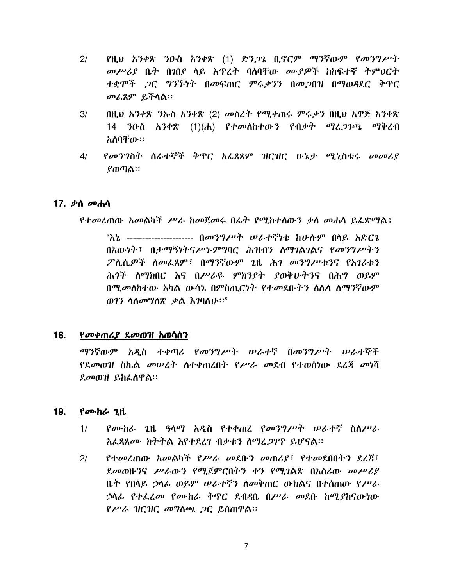- $2/$ የዚህ አንቀጽ ንዑስ አንቀጽ (1) ድን*ጋ*ጌ ቢኖርም ማንኛውም የመንግሥት *መሥሪያ* ቤት በ*ገ*በደ ላይ እጥረት ባለባቸው *ሙያዎች* ከከፍተኛ ትምህርት ተቋሞች *ጋ*ር ግንኙነት በመፍጠር ምሩ*ቃንን* በመ*ጋ*በዝ በማወዳደር ቅጥር መፌጸም ይችሳል።
- $3/$ በዚህ አንቀጽ ንኡስ አንቀጽ (2) መሰረት የሚቀጠሩ ምሩቃን በዚህ አዋጅ አንቀጽ 14 ንዑስ አንቀጽ (1)(ሐ) የተመሰከተውን የብቃት ማፈ*ጋገ*ጫ ማቅረብ አለባቸው።
- $4/$ *የመንግ*ስት ስራተኞች ቅጥር አፌጻጸም ዝርዝር ሁኔ*ታ ሚኒ*ስቴሩ መመሪያ  $\boldsymbol{\ell}$ ወጣል።

### 17. *ቃ*ስ *መ*ሐሳ

የተመረጠው አመልካች ሥራ ከመጀመሩ በፊተ የሚከተሰውን ቃስ መሐሳ ይሬጽማል፤

"እኔ --------------------- በመንግሥት ሠራተኛካቴ ከሁሉም በላይ አድርጌ በእውነት፣ በታማኝነትናሥነ-ምግባር ሕዝብን ስማገልገልና የመንግሥትን ፖለሲዎች ስመፌጸም፣ በማንኛውም ጊዜ ሕገ መንግሥቱንና የአገሪቱን ሕጎች ሰማክበር እና በሥራዬ ምክንያት ያወቅሁትንና በሕግ ወይም በሚመስከተው አካል ውሳኔ በምስጢርነት የተመደቡትን ስሴሳ ስማንኛውም ወገን ሳሰመግሰጽ ቃል እገባሰሁ።"

#### 18. የመቀጠሪያ ደመወዝ አወሳሰን

ማንኛውም አዲስ ተቀጣሪ የመንግሥት ሠራተኛ በመንግሥት ሠራተኞች *የደመ*ወዝ ስኬል *መሠረት* ለተቀጠረበት የ*ሥራ መ*ደብ የተወሰነው ደረጃ *መ*ነሻ ደመወዝ ይከፌስዋል፡፡

#### 19. የሙከራ  $2$ ዜ

- የሙከራ ጊዜ ዓላማ አዲስ የተቀጠረ የመንግሥት ሠራተኛ ስለሥራ  $1/$ አፌጻጸሙ ክትትል እየተደረገ ብቃቱን ስማረጋገጥ ይሆናል፡፡
- $2/$ የተመረጠው አመልካች የሥራ መደቡን መጠሪያ፣ የተመደበበትን ደረጃ፣ ደመወዙንና ሥራውን የሚጀምርበትን ቀን የሚገልጽ በአሰሪው መሥሪያ ቤት የበላይ ኃላፊ ወይም ሥራተኛን ስመቅጠር ውክልና በተሰጠው የሥራ ኃሳ*ሌ* የተ*ሌረመ የሙከራ ቅ*ዋር ደብዳቤ በሥራ መደቡ ከሚያከናውነው የሥራ ዝርዝር መግስጫ ጋር ይሰጠዋል፡፡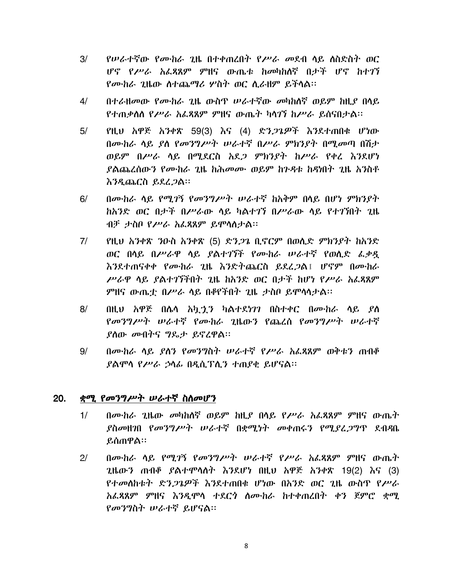- የሥራተኛው የሙከራ ጊዜ በተቀጠረበት የሥራ መደብ ሳይ ስስድስት ወር  $3/$ ሆኖ የሥራ አፌጻጸም ምዘና ውጤቱ ከመካከሰኛ በታች ሆኖ ከተገኘ የሙከራ ጊዜው ስተጨማሪ ሦስት ወር ሲራዘም ይችላል።
- $4/$ በተራዘመው የሙከራ ጊዜ ውስጥ ሠራተኛው መካከለኛ ወይም ከዚያ በሳይ የተጠቃሰስ የሥራ አፊጻጸም ምዘና ውጤት ካሳገኘ ከሥራ ይሰናበታል።
- $5/$ የዚህ አዋጅ አንቀጽ 59(3) እና (4) ድን*ጋጌዎች* እንደተጠበቁ ሆነው በሙከራ ሳይ ያስ የመንግሥት ሠራተኛ በሥራ ምክንያት በሚመጣ በሽታ ወይም በሥራ ሳይ በሚደርስ አደ*ጋ* ምክንያት ከሥራ የቀረ እንደሆነ *ያ*ልጨረሰው*ን የሙከራ ጊ*ዜ ከሕመሙ ወይም ከን*ዳ*ቱ ከዳነበት ጊዜ አንስቶ <u>እንዲጨርስ ይደረ*ጋ*ል።</u>
- በሙከራ ሳይ የሚገኝ የመንግሥት ሠራተኛ ከአቅም በሳይ በሆነ ምክንያት  $6/$ *ከአንድ ወር በታች በሥራ*ው ላይ ካልተ*ገ*ኘ በ*ሥራ*ው ላይ የተገኘበት ጊዜ ብቻ ታስቦ የሥራ አፌጻጸም ይሞሳስታል።
- $7/$ የዚሀ አንቀጽ ንዑስ አንቀጽ (5) ድን*ጋ*ጌ ቢኖርም በወሲድ ምክን*ያ*ት ከአንድ ወር በሳይ በሥራዋ ሳይ ያልተገኘች የሙከራ ሠራተኛ የወሲድ ፌቃዷ እንደተጠናቀቀ የሙከራ ጊዜ እንድትጨርስ ይደረጋል፤ ሆኖም በሙከራ ሥራዋ ሳይ ያልተገኘችበት ጊዜ ከአንድ ወር በታች ከሆነ የሥራ አፌጻጸም ምዘና ውጤቷ በሥራ ሳይ በቆየችበት ጊዜ ታስቦ ይሞሳሳታል።
- $8/$ በዚህ አዋጅ በሴሳ አኳታን ካልተደነገን በስተቀር በሙከራ ሳይ ያስ የመንግሥት ሠራተኛ የሙከራ ጊዜውን የጨረሰ የመንግሥት ሠራተኛ ያስው መብትና ግዴታ ይኖረዋል።
- በሙከራ ሳይ ያስን የመንግስት ሠራተኛ የሥራ አፌጻጸም ወቅቱን ጠብቆ  $9/$ ያልሞሳ የሥራ ኃሳፊ በዲሲፕሲን ተጠያቂ ይሆናል።

#### 20. ቋሚ የመንግሥት ሠራተኛ ስስመሆን

- በሙከራ ጊዜው መካከለኛ ወይም ከዚያ በላይ የሥራ አፌጻጸም ምዘና ውጤት  $1/$ ያስመዘንበ የመንግሥት ሠራተኛ በቋሚነት መቀጠሩን የሚደረጋግጥ ደብዳቤ ይሰጠዋል።
- $2/$ በሙከራ ሳይ የሚገኝ የመንግሥት ሠራተኛ የሥራ አፌጻጸም ምዘና ውጤት ጊዜውን ጠብቆ ይልተሞሳስት እንደሆነ በዚህ አዋጅ አንቀጽ 19(2) እና (3) የተመለከቱት ድን*ጋጌዎች እን*ደተጠበቁ ሆነው በአንድ ወር *ጊ*ዜ ውስዋ የ*ሥራ* አፌጻጸም ምዘና እንዲሞሳ ተደርጎ ስሙከራ ከተቀጠረበት ቀን ጀምሮ ቋሚ የመንግስት ሠራተኛ ይሆናል።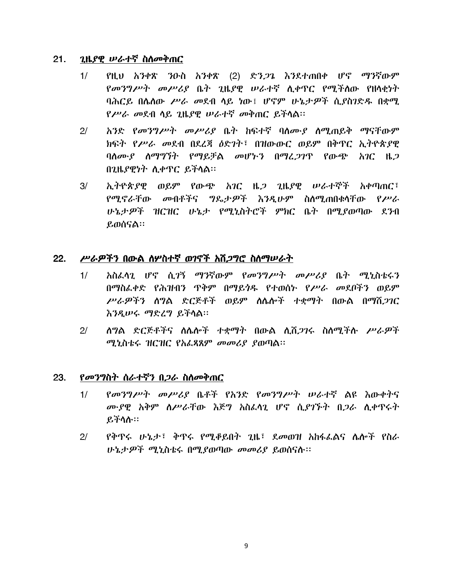#### $21.$ ጊዜያዊ ሥራተኛ ስስመቅጠር

- የዚህ አንቀጽ ንዑስ አንቀጽ (2) ድን*ጋጌ* እንደተጠበቀ ሆኖ ማንኛውም  $1/$ *የመንግሥት መሥሪያ* ቤት ጊዜያዊ ሠራተኛ ሲቀጥር የሚችሰው የዘሳቂነት ባሕርይ በሴስው ሥራ መደብ ሳይ ነው፤ ሆኖም ሁኔታዎች ሲያስንድዱ በቋሚ የሥራ መደብ ሳይ ጊዜያዊ ሠራተኛ መቅጠር ይችሳል፡፡
- $2/$ አንድ የመንግሥት መሥሪያ ቤት ከፍተኛ ባለሙያ ለሚጠይቅ ማናቸውም ክፍት የሥራ መደብ በደረጃ ዕድገት፤ በዝውውር ወይም በቅጥር ኢትዮጵያዊ ባሰሙያ ስማግኘት የማይቻል መሆኑን በማፈጋገጥ የውጭ አገር ዜጋ በጊዜያዊነት ሲቀጥር ይችሳል።
- $3/$ ኢትዮጵያዊ ወይም የውጭ አገር ዜ*ጋ* ጊዜያዊ ሠራተኞች አቀጣጠር፤ የሚኖራቸው መብቶችና ግጼታዎች እንዲሁም ስለሚጠበቁሳቸው የሥራ ሁኔታዎች ዝርዝር ሁኔታ የሚኒስትሮች ምክር ቤት በሚያወጣው ደንብ ይወሰናል።

#### $22.$ ሥራዎችን በውል ስሦስተኛ ወገኖች አሽ*ጋግ*ሮ ስስማሥራት

- አስፈሳጊ ሆኖ ሲ*ገኝ ማን*ኛውም የመንግሥት መሥሪያ ቤት ሚኒስቴሩን  $1/$ በማስፌቀድ የሕዝብን ዋቅም በማይንዱ የተወሰኑ የሥራ መደቦችን ወይም ሥራዎችን ሰግል ድርጅቶች ወይም ስሴሎች ተቋማት በውል በማሽ*ጋገ*ር እንዲሠሩ ማድረግ ይችሳል።
- ሰግል ድርጅቶችና ስሴሎች ተቋማት በውል ሲሽ*ጋገ*ሩ ስሰሚችሱ *ሥራዎ*ች  $2/$ ሚኒስቴሩ ዝርዝር የአፌጻጸም መመሪያ ያወጣል።

#### 23. *የመንግ*ስት ስራተኛን በ*ጋ*ራ ስስመቅጠር

- $1/$ የመንግሥት መሥሪያ ቤቶች የአንድ የመንግሥት ሠራተኛ ልዩ እውቀትና ሙያዊ አቅም ሰሥራቸው እጅግ አስፌሳጊ ሆኖ ሲያገኙት በ*ጋ*ራ ሲቀጥሩት ይችሳሱ።
- የቅዋሩ ሁኔታ፣ ቅዋሩ የሚቆይበት ጊዜ፣ ደመወዝ አከፋፌልና ሌሎች የስራ  $2/$ ሁኔታዎች ሚኒስቴሩ በሚያወጣው መመሪያ ይወሰናሉ።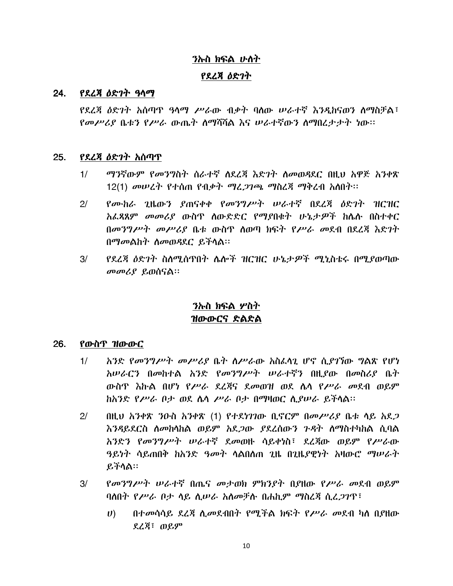# ንኩስ ክፍል ሁስት

## የደረጃ ዕድገት

#### የደረጃ ዕድገት ዓሳማ 24.

የደረጃ ዕድገት አሰጣዋ ዓላማ ሥራው ብቃት ባሰው ሠራተኛ እንዲከናወን ስማስቻል፤ የመሥሪያ ቤቱን የሥራ ውጤት ስማሻሻል እና ሠራተኛውን ስማበረታታት ነው።

#### *የደረጃ ዕድገት አ*ሰጣጥ 25.

- *ማን*ኛውም *የመንግ*ስት ሰራተኛ ለደረጃ እድንት ስመወዳደር በዚህ አዋጅ አንቀጽ  $1/$ 12(1) መሠረት የተሰጠ የብቃት ማሪ*ጋገጫ ማ*ስረጃ ማቅረብ አስበት፡፡
- የሙከራ ጊዜውን ያጠናቀቀ የመንግሥት ሠራተኛ በደረጃ ዕድንት ዝርዝር  $2<sup>1</sup>$ አፌጻጸም መመሪያ ውስጥ ሰውድድር የማያበቁት ሁኔታዎች ከሴሱ በስተቀር በመንግሥት መሥሪያ ቤቱ ውስጥ ስወጣ ክፍት የሥራ መደብ በደረጃ እድገት በማመልከት ስመወዳደር ይችላል።
- የደረጃ ዕድገት ስስሚሰጥበት ሌሎች ዝርዝር ሁኔታዎች ሚኒስቴሩ በሚያወጣው  $3/$ መመሪያ ይወሰናል።

# ንኡስ ክፍል ሦስት ዝውውርና ድልድል

#### 26. የውስጥ ዝ<u>ውውር</u>

- $1/$ አንድ የመንግሥት መሥሪያ ቤት ስሥራው አስፈሳጊ ሆኖ ሲያገኘው ግልጽ የሆነ አሠራርን በመከተል አንድ የመንግሥት ሠራተኛን በዚያው በመስሪያ ቤት ውስዋ እኩል በሆነ የሥራ ደረጃና ደመወዝ ወደ ሴሳ የሥራ መደብ ወይም ከአንድ የሥራ ቦታ ወደ ሴሳ ሥራ ቦታ በማዛወር ሲያሠራ ይችሳል።
- $2/$ በዚህ አንቀጽ ንዑስ አንቀጽ (1) የተደነገገው ቢኖርም በመሥሪያ ቤቱ ሳይ አደ*ጋ* እንዳይደርስ ስመከሳከል ወይም አደ*ጋ*ው ያደረሰውን ንዳት ስማስተካከል ሲባል አንድን የመንግሥት ሠራተኛ ደመወዙ ሳይቀነስ፤ ደረጀው ወይም የሥራው ዓይነት ሳይጠበቅ ከአንድ *ዓመት* ሳልበሰጠ 2ዜ በ2ዜ*ያ*ዊነት አዛውሮ *ማሠራት* ይችሳል።
- $3/$ *የመንግሥት ሠራተኛ* በጤና *መታወክ ምክንያት ቢያ*ዘው የ*ሥራ መ*ደብ ወይም ባለበት የሥራ ቦታ ሳይ ሲሥራ አስመቻሉ በሐኪም ማስረጃ ሲፈ*ጋገ*ጥ፣
	- በተመሳሳይ ደረጃ ሲመደብበት የሚችል ክፍት የሥራ መደብ ካለ በያዘው  $U$ ) ደረጃ፣ ወይም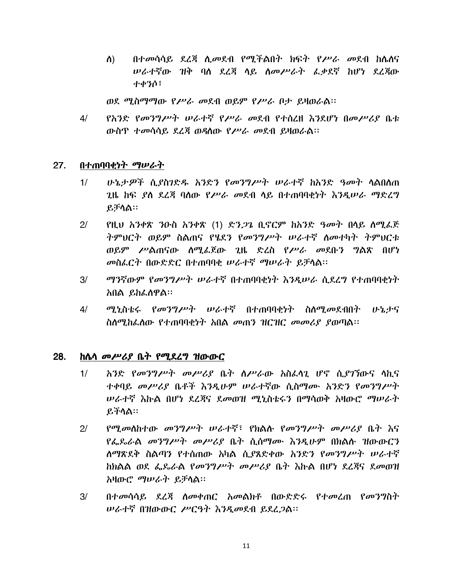በተመሳሳይ ደረጃ ሲመደብ የሚችልበት ክፍት የሥራ መደብ ከሴስና ስ) *ሠ*ራተኛው ዝቅ ባለ ደረጃ ሳይ ስመሥራት ፌቃደኛ ከሆነ ደረጃው ተቀንሶ፣

ወደ ሚስማማው የሥራ መደብ ወይም የሥራ ቦታ ይዛወራል።

*የአንድ የመንግሥት ሠራተኛ የሥራ መ*ደብ የተሰረዘ *እን*ደሆነ በመሥሪያ ቤቱ  $4/$ ውስጥ ተመሳሳይ ደረጃ ወዳስው የሥራ መደብ ይዛወራል።

#### $27.$ በተጠባባቂነት ማሠራት

- $1/$ <u>ሁኔታዎች ሲያስገድዱ አንድን የመንግሥት ሠራተኛ ከአንድ ዓመት ሳልበለጠ</u> 2ዜ ከፍ *ያ*ለ ደረጃ ባለው የ*ሥራ መ*ደብ ላይ በተጠባባቂነት እንዲሠራ ማድረግ ይቻሳል።
- $2/$ የዚህ አንቀጽ ንዑስ አንቀጽ (1) ድን*ጋ*ጌ ቢኖርም ከአንድ ዓመት በላይ ሰሚፌጅ ትምህርት ወይም ስልጠና የሄደን የመንግሥት ሠራተኛ ስመተካት ትምህርቱ ወይም ሥልጠናው ሰሚፌጀው ጊዜ ድረስ የሥራ መደቡን ግልጽ በሆነ መስፌርት በውድድር በተጠባባቂ ሠራተኛ ማሠራት ይቻላል፡፡
- ማንኛውም የመንግሥት ሠራተኛ በተጠባባቂነት እንዲሠራ ሲደረግ የተጠባባቂነት  $3/$ አበል ይከፌለዋል።
- ሚኒስቴሩ የመንግሥት ሠራተኛ በተጠባባቂነት ስለሚመደብበት ሁኔታና  $4/$ ስለሚከፌለው የተጠባባቂነት አበል መጠን ዝርዝር መመሪያ ያወጣል፡፡

#### 28. *ከሴሳ መሥሪያ* ቤት የሚደረግ ዝውውር

- አንድ የመንግሥት መሥሪያ ቤት ስሥራው አስፌሳጊ ሆኖ ሲያገኘውና ሳኪና  $1/$ ተቀባይ መሥሪያ ቤቶች እንዲሁም ሠራተኛው ሲስማሙ አንድን የመንግሥት ሥራተኛ እኩል በሆነ ደረጃና ደመወዝ ሚኒስቴሩን በማሳወቅ አዛውሮ ማሠራት ይችሳል።
- የሚመስከተው መንግሥት ሠራተኛ፣ የክልሱ የመንግሥት መሥሪያ ቤት እና  $2<sup>1</sup>$ የፌዴራል መንግሥት መሥሪያ ቤት ሲሰማሙ እንዲሁም በክልሱ ዝውውርን ለማጽደቅ ስልጣን የተሰጠው አካል ሲ*ያ*ጸድቀው አንድን የ*መንግሥት ሠራተ*ኛ ከክልል ወደ ፌዴራል የመንግሥት መሥሪያ ቤት እኩል በሆነ ደረጃና ደመወዝ አዛውሮ *ማሠራት* ይቻሳል።
- $3/$ በተመሳሳይ ደረጃ ስመቀጠር አመልክቶ በውድድሩ የተመረጠ የመንግስት ሠራተኛ በዝውውር ሥርዓት እንዲመደብ ይደረጋል።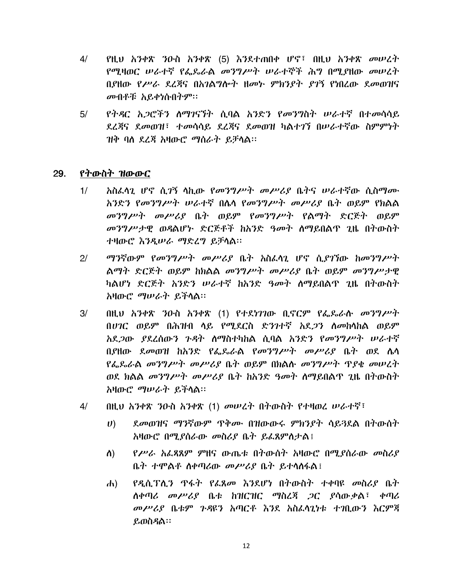- $4/$ የዚህ አንቀጽ ንዑስ አንቀጽ (5) እንደተጠበቀ ሆኖ፣ በዚህ አንቀጽ መሠረት የሚዛወር ሠራተኛ የፌዴራል መንግሥት ሠራተኞች ሕግ በሚያዘው መሠረት በያዘው የሥራ ደረጃና በአንልግሎት ዘመኑ ምክንያት ያገኝ የነበረው ደመወዝና መብቶቹ አይቀነሱበትም።
- የትዳር አጋሮችን ስማገናኘት ሲባል አንድን የመንግስት ሠራተኛ በተመሳሳይ  $5/$ ደረጃና ደመወዝ፣ ተመሳሳይ ደረጃና ደመወዝ ካልተገኘ በሠራተኛው ስምምነት ዝቅ ባለ ደረጃ አዛውሮ ማሰራት ይቻላል፡፡

#### የትውስት ዝውውር  $29.$

- አስፌሳጊ ሆኖ ሲ*ገ*ኝ ሳኪው *የመንግሥት መሥሪያ* ቤትና ሠራተኛው ሲስማሙ  $1/$ አንድን የመንግሥት ሠራተኛ በሴሳ የመንግሥት መሥሪያ ቤት ወይም የክልል መንግሥት መሥሪያ ቤት ወይም የመንግሥት የልማት ድርጅት ወይም መንግሥታዊ ወዳልሆኑ ድርጅቶች ከአንድ ዓመት ስማይበልጥ ጊዜ በትውስት ተዛውሮ እንዲሠራ ማድረግ ይቻሳል።
- ማንኛውም የመንግሥት መሥሪያ ቤት አስፈላጊ ሆኖ ሲያገኘው ከመንግሥት  $2<sup>1</sup>$ ልማት ድርጅት ወይም ከክልል መንግሥት መሥሪያ ቤት ወይም መንግሥታዊ ካልሆነ ድርጅት አንድን ሠራተኛ ከአንድ ዓመት ስማይበልጥ ጊዜ በትውስት አዛውሮ ማሠራት ይችላል።
- በዚህ አንቀጽ ንዑስ አንቀጽ (1) የተደነገገው ቢኖርም የፌዶራሱ መንግሥት  $3/$ በሀገር ወይም በሕዝብ ሳይ የሚደርስ ድንገተኛ አደ*ጋን* ሰመከሳከል ወይም አደ*ጋ*ው *ያ*ደረሰውን ጉዳት ስማስተካከል ሲባል አንድን የመንግሥት ሠራተኛ በያዘው ደመወዝ ከአንድ የፌጼራል የመንግሥት መሥሪያ ቤት ወደ ሴሳ የፌዶራል መንግሥት መሥሪያ ቤት ወይም በክልሱ መንግሥት ጥያቄ መሠረት ወደ ክልል *መንግሥት መሥሪያ* ቤት ክአንድ <del>ዓመ</del>ት ለማይበልጥ ጊዜ በትውስት አዛውሮ *ማሠራት* ይችሳል።
- በዚህ አንቀጽ ንዑስ አንቀጽ (1) መሠረት በትውስት የተዛወረ ሠራተኛ፣  $4/$ 
	- ደመወዝና ማንኛውም ዋቅሙ በዝውውሩ ምክንያት ሳይጓደል በትውስት  $\boldsymbol{U}$ አዛውሮ በሚያሰራው መስሪያ ቤት ይፌጸምስታል፤
	- $P^{\nu}$ ራ አፌጻጸም ምዘና ውጤቱ በትውስት አዛውሮ በሚያሰራው መስሪያ ስ) ቤት ተሞልቶ ስቀጣሪው *መሥሪያ* ቤት ይተሳስፋል፤
	- የዲሲፕሊን ዋፋት የፌጸመ እንደሆነ በትውስት ተቀባዩ መስሪያ ቤት  $\mathbf{d}$ ለቀጣሪ መሥሪያ ቤቱ ከዝርዝር ማስረጃ ጋር ያሳውቃል፣ ቀጣሪ መሥሪያ ቤቱም ጉዳዩን አጣርቶ እንደ አስራሳጊነቱ ተገቢውን እርምጃ ይወስዳል፡፡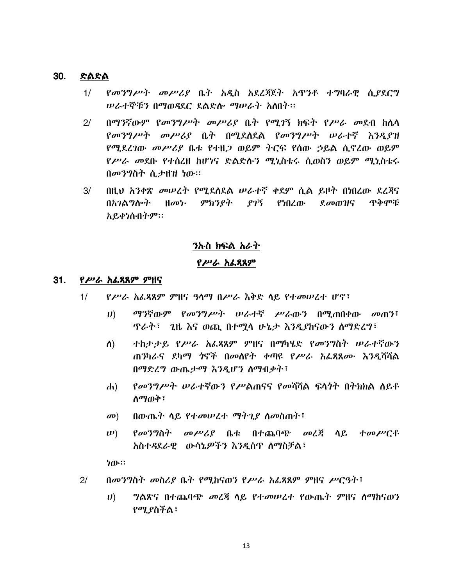#### $30.$ ድልድል

- የመንግሥት መሥሪያ ቤት አዲስ አደረጃጀት አጥንቶ ተግባራዊ ሲያደርግ  $1/$ ሠራተኞቹን በማወዳደር ደልድሎ ማሠራት አለበት፡፡
- በማንኛውም የመንግሥት መሥሪያ ቤት የሚገኝ ክፍት የሥራ መደብ ከሴሳ  $2<sup>1</sup>$ የመንግሥት መሥሪያ ቤት በሚደስደል የመንግሥት ሠራተኛ እንዲያዝ የሚደረገው መሥሪያ ቤቱ የተዘጋ ወይም ትርፍ የሰው ኃይል ሲኖረው ወይም *የሥራ መ*ደቡ የተሰረዘ ከሆነና ድልድሱን ሚኒስቴሩ ሲወስን ወይም ሚኒስቴሩ  $\theta$ መንግስት ሲታዘዝ ነው።
- በዚህ አንቀጽ መሠረት የሚደስደል ሠራተኛ ቀደም ሲል ይዞት በነበረው ደረጃና  $3/$ በአገልግሎት ዘመት ምክንያት ያገኝ የነበረው ደ*መ*ወዝና ጥቅሞቹ አይቀነሱበትም፡፡

## ንኩስ ክፍል አራት

### የሥራ አፌጻጸም

#### 31. *የሥራ አሌጻጸም ም*ዘና

- $1/$ የሥራ አፌጻጸም ምዘና ዓላማ በሥራ እቅድ ላይ የተመሠረተ ሆኖ፣
	- ማንኛውም የመንግሥት ሠራተኛ ሥራውን በሚጠበቀው መጠን፤  $\boldsymbol{U}$ ዋራት፣ \_ ጊዜ እና ወጪ በተሟሳ ሁኔታ እንዲያከናውን ስማድረግ፣
	- ተከታታይ የሥራ አፌጻጸም ምዘና በማካሄድ የመንግስት ሠራተኛውን  $\Lambda$ ) ጠንካራና ደካማ ጎኖች በመሰየት ቀጣዩ የሥራ አፌጻጸሙ እንዲሻሻል በማድረግ ውጤታማ እንዲሆን ስማብቃት፣
	- የመንግሥት ሠራተኛውን የሥልጠናና የመሻሻል ፍላጎት በትክክል ሰይቶ  $\mathbf{d}$ ስማወቅ ፣
	- $\mathbf{C}(\mathbf{D})$ በውጤት ሳይ የተመሠረተ ማትጊያ ስመስጠት፣
	- $\n \boldsymbol{\mu}$ ) *የመንግ*ስት መሥሪያ ቤቱ በተጨባጭ መረጃ ላይ ተመሥርቶ አስተዳደራዊ ውሳኔዎችን እንዲሰዋ ስማስቻል፣

ነው።

- $2/$ በመንግስት መስሪያ ቤት የሚከናወን የሥራ አፌጻጸም ምዘና ሥርዓት፣
	- *ግ*ልጽና በተጨባጭ *መ*ረጃ ሳይ የተመሠረተ የውጤት ምዘና ስማከናወን  $\boldsymbol{U}$ የሚያስችል፣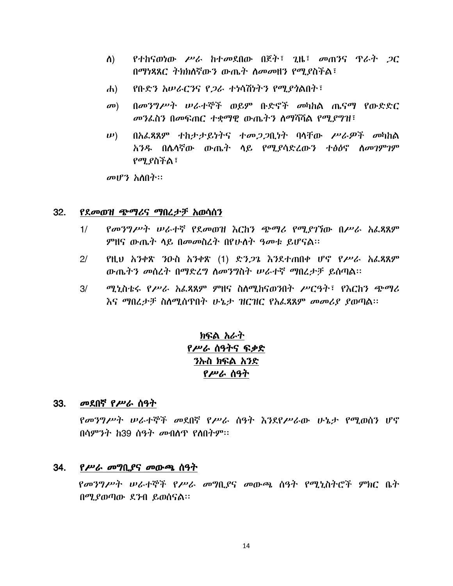- የተከናወነው ሥራ ከተመደበው በጀት፣ ጊዜ፣ መጠንና ጥራት ጋር ስ) በማነጻጸር ትክክለኛውን ውጤት ለመመዘን የሚያስችል፣
- <u>የቡድን አሠራርንና የ*ጋ*ራ ተነሳሽነትን የሚያ*ጎ*ልበት፣</u>  $\left| d \right|$
- በመንግሥት ሠራተኞች ወይም ቡድኖች መካከል ጤናማ የውድድር  $\mathbf{D}$ መንፌስን በመፍጠር ተቋማዊ ውጤትን ስማሻሻል የሚያግዝ፣
- በአፌጸጸም ተከታታይነትና ተመጋጋቢነት ባላቸው ሥራዎች መካከል  $\n \boldsymbol{\nu}$ ) አንዱ በሴሳኛው ውጤት ሳይ የሚያሳድረውን ተፅዕኖ ስመገምገም የሚያስችል፣

 $\omega$ ህሮን አስበት።

#### 32. <u>የደመወዝ ጭማሪና ማበረታቻ አወሳሰን</u>

- የመንግሥት ሠራተኛ የደመወዝ እርከን ጭማሪ የሚያገኘው በሥራ አፌጻጸም  $1/$ ምዘና ውጤት ሳይ በመመስረት በየሁለት ዓመቱ ይሆናል።
- የዚህ አንቀጽ ንዑስ አንቀጽ (1) ድን*ጋጌ* እንደተጠበቀ ሆኖ የሥራ አፌጻጸም  $2/$ ውጤትን መሰረት በማድረግ ስመንግስት ሠራተኛ ማበረታቻ ይሰጣል፡፡
- $3/$ ሚኒስቴሩ የሥራ አፌጻጸም ምዘና ስለሚከናወንበት ሥርዓት፣ የእርከን ጭማሪ እና ማበረታቻ ስስሚሰጥበት ሁኔታ ዝርዝር የአፌጻጸም መመሪያ ያወጣል፡፡

# ክፍል አራት የሥራ ሰዓትና ፍቃድ ንኩስ ክፍል አንድ የሥራ ሰዓት

### 33. መደበኛ የሥራ ሰዓት

የመንግሥት ሠራተኞች መደበኛ የሥራ ሰዓት እንደየሥራው ሁኔታ የሚወሰን ሆኖ በሳምንት ከ39 ሰዓት መብለጥ የለበትም።

### 34. የሥራ መግቢያና መውጫ ሰዓት

የመንግሥት ሠራተኞች የሥራ መግቢያና መውጫ ሰዓት የሚኒስትሮች ምክር ቤት በሚያወጣው ደንብ ይወሰናል።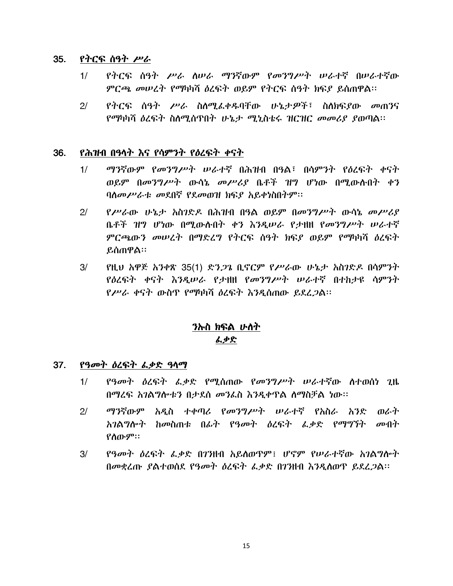#### 35. የትርፍ ሰዓት ሥራ

- የትርፍ ሰዓት ሥራ ስሠራ ማንኛውም የመንግሥት ሠራተኛ በሠራተኛው  $1/$ ምርጫ መሠረት የማካካሻ ዕረፍት ወይም የትርፍ ሰዓት ክፍያ ይሰጠዋል፡፡
- የትርፍ ሰዓት ሥራ ስለሚፌቀዱባቸው ሁኔታዎች፣ ስለክፍያው መጠንና  $2/$ የማካካሻ ዕረፍት ስለሚሰጥበት ሁኔታ ሚኒስቴሩ ዝርዝር መመሪያ ያወጣል፡፡

#### 36. የሕዝብ በዓላት እና የሳምንት የዕረፍት ቀናት

- $1/$ *ማን*ኛውም *የመንግሥት ሠራተ*ኛ በሕዝብ በዓል፣ በሳምንት የ*ዕ*ረፍት ቀናት ወይም በመንግሥት ውሳኔ መሥሪያ ቤቶች ዝግ ሆነው በሚውስብት ቀን ባስመሥራቱ መደበኛ የደመወዝ ክፍያ አይቀነስበትም፡፡
- የሥራው ሁኔታ አስገድዶ በሕዝብ በዓል ወይም በመንግሥት ውሳኔ መሥሪያ  $2/$ ቤቶች ዝግ ሆነው በሚውሉበት ቀን እንዲሠራ የታዘዘ የመንግሥት ሠራተኛ ምርጫውን መሠረት በማድረግ የትርፍ ስዓት ክፍያ ወይም የማካካሻ ዕረፍት ይሰጠዋል።
- $3/$ የዚህ አዋጅ አንቀጽ 35(1) ድን*ጋጌ* ቢኖርም የሥራው ሁኔታ አስንድዶ በሳምንት የዕረፍት ቀናት እንዲሠራ የታዘዘ የመንግሥት ሠራተኛ በተከታዩ ሳምንት የሥራ ቀናት ውስጥ የማካካሻ ዕረፍት እንዲሰጠው ይደረ*ጋ*ል፡፡

# ንኩስ ክፍል ሁስት ፌቃድ

#### የዓመት ዕረፍት ፌቃድ ዓላማ  $37.$

- *የዓመት ዕ*ረፍት *ፌቃ*ድ የሚሰጠው የመንግሥት ሠራተኛው ስተወሰነ ጊዜ  $1/$ በማረፍ አገልግሎቱን በታደሰ መንፌስ እንዲቀጥል ስማስቻል ነው፡፡
- $2/$ ማንኛውም አዲስ ተቀጣሪ የመንግሥት ሠራተኛ የአስራ አንድ ወራት አገልግሎት ከመስጠቱ በፊት የዓመት ዕረፍት ፌቃድ የማግኘት መብት የስውም።
- $3/$ የዓመት ዕረፍት ፌቃድ በንዝብ አይለወዋም፤ ሆኖም የሠራተኛው አገልግሎት በመቋረጡ ያልተወሰደ የዓመት ዕረፍት ፌቃድ በገንዘብ እንዲሰወዋ ይደረ*ጋ*ል።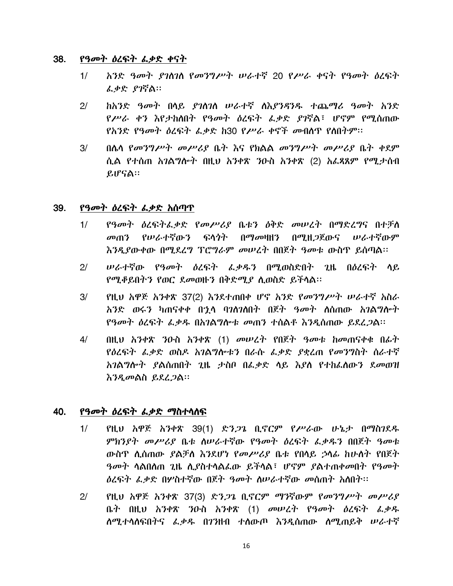#### 38. የዓመት ዕረፍት ፌቃድ ቀናት

- አንድ ዓመት ያገስገስ የመንግሥት ሠራተኛ 20 የሥራ ቀናት የዓመት ዕረፍት  $1/$ ፌቃድ ያገኛል።
- ከአንድ ዓመት በሳይ ያገስገስ ሠራተኛ ስእያንዳንዱ ተጨማሪ ዓመት አንድ  $2<sup>1</sup>$ የሥራ ቀን እየታከለበት የዓመት ዕረፍት ፌቃድ ያገኛል፣ ሆኖም የሚሰጠው የአንድ የዓመት ዕረፍት ፌቃድ ከ30 የሥራ ቀኖች መብሰዋ የሰበትም።
- በሌሳ የመንግሥት መሥሪያ ቤተ እና የክልል መንግሥት መሥሪያ ቤት ቀደም  $3/$ ሲል የተሰጠ አገልግሎት በዚህ አንቀጽ ንዑስ አንቀጽ (2) አፌጻጸም የሚታሰብ ይሆናል።

#### 39. *የዓመት ዕ*ረፍት *ሌቃ*ድ አሰጣጥ

- የዓመት ዕረፍትፌቃድ የመሥሪያ ቤቱን ዕቅድ መሠረት በማድረግና በተቻለ  $1/$ *መ*ጠን የሥራተኛውን ፍላጎት በማመዛዘን በሚዘ*ጋ*ጀውና ሥራተኛውም እንዲያውቀው በሚደረግ ፕሮግራም መሠረት በበጀት ዓመቱ ውስጥ ይሰጣል፡፡
- ሥራተኛው የዓመት *ዕ*ረፍት ፌቃዱን በሚወስድበት ጊዜ በዕረፍት ሳይ  $2<sup>1</sup>$ የሚቆይበትን የወር ደመወዙን በቅድሚያ ሲወስድ ይችላል፡፡
- $3/$ የዚህ አዋጅ አንቀጽ 37(2) እንደተጠበቀ ሆኖ አንድ የመንግሥት ሠራተኛ አስራ አንድ ወሩን ካጠናቀቀ በኂሳ ባንስንስበት በጀት ዓመት ስስጠው አንልግሎት *የዓመት ዕ*ረፍት ፌቃዱ በአ*ገ*ልግሎቱ መጠን ተሰልቶ እንዲሰጠው ይደረ*ጋ*ል።
- $4/$ በዚህ አንቀጽ ንዑስ አንቀጽ (1) መሠረት የበጀት ዓመቱ ከመጠናቀቁ በፊት የዕረፍት ፌቃድ ወስዶ አገልግሎቱን በራሱ ፌቃድ ያቋረጠ የመንግስት ስራተኛ አንልግሎት ያልሰጠበት ጊዜ ታስቦ በፌቃድ ላይ እያለ የተከፈለውን ደመወዝ <u>እንዲመልስ ይደረጋል።</u>

#### 40. *የዓመት ዕ*ረፍት *ፌቃ*ድ ማስተሳሰፍ

- $1/$ የዚህ አዋጅ አንቀጽ 39(1) ድን*ጋጌ* ቢኖርም የሥራው ሁኔታ በማስገደዱ ምክንያት መሥሪያ ቤቱ ስሠራተኛው የዓመት ዕረፍት ፌቃዱን በበጀት ዓመቱ ውስጥ ሲሰጠው ያልቻስ እንደሆነ የመሥሪያ ቤቱ የበሳይ ኃሳፊ ከሁስት የበጀት ዓመት ሳልበሰጠ ጊዜ ሲያስተሳልፌው ይችሳል፣ ሆኖም ያልተጠቀመበት የዓመት *ዕ*ረፍት ፌቃድ በሦስተኛው በጀት ዓመት ስሥራተኛው መሰጠት አስበት፡፡
- የዚህ አዋጅ አንቀጽ 37(3) ድን*ጋጌ* ቢኖርም ማንኛውም የመንግሥት መሥሪያ  $2/$ ቤት በዚህ አንቀጽ ንዑስ አንቀጽ (1) መሠረት የዓመት ዕረፍት ፌቃዱ ሰሚተሳሰፍበትና ፌቃዱ በ7ንዘብ ተሰውጦ እንዲሰጠው ሰሚጠይቅ ሠራተኛ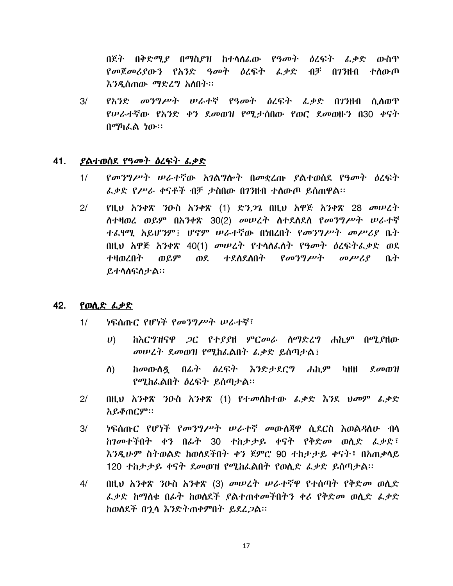በጀት በቅድሚያ በማስያዝ ከተሳሰፌው የዓመት ዕረፍት ፌቃድ ውስጥ የመጀመሪያውን የአንድ ዓመት ዕረፍት ፌቃድ ብቻ በገንዘብ ተስውጦ እንዲሰጠው ማድረግ አስበት።

*የአንድ መንግሥት ሠራተኛ የዓመት ዕ*ረፍት ፌቃድ በ7ንዘብ ሲለወጥ  $3/$ የሥራተኛው የአንድ ቀን ደመወዝ የሚታሰበው የወር ደመወዙን በ30 ቀናት በማካፌል ነው።

#### 41. *ያ*ልተወሰደ የዓመት ዕረፍት *ሌ*ቃድ

- $1/$ የመንግሥት ሠራተኛው አገልግሎት በመቋረጡ ያልተወሰደ የዓመት ዕረፍት ፌቃድ የሥራ ቀናቶች ብቻ ታስበው በገንዘብ ተስውጦ ይሰጠዋል።
- $2/$ የዚህ አንቀጽ ንዑስ አንቀጽ (1) ድን*ጋጌ* በዚህ አዋጅ አንቀጽ 28 መሠረት ስተዛወረ ወይም በአንቀጽ 30(2) መሠረት ስተደስደስ የመንግሥት ሠራተኛ ተፌየሚ አይሆንም፤ ሆኖም ሠራተኛው በነበረበት የመንግሥት መሥሪያ ቤት በዚህ አዋጅ አንቀጽ 40(1) መሠረት የተሳስፌስት የዓመት ዕረፍትፌቃድ ወደ ተዛወረበት ወይም ወደ ተደለደለበት የመንግሥት መሥሪያ ቤት ይተሳሰፍስታል።

#### 42. የወሲድ ፌቃድ

- $1/$ *ነ*ፍሰጡር የሆነች የመንግሥት ሠራተኛ፣
	- $U$ ከእርግዝናዋ *ጋ*ር የተያያዘ ምር*መራ* ስማድረግ ሐኪም በሚያዘው መሠረት ደመወዝ የሚከፌልበት ፌቃድ ይሰጣታል፤
	- ከመውሰዷ በፊት ዕረፍት እንድታደርግ ሐኪም ካዘዘ ደመወዝ ስ) የሚከፌልበት ዕረፍት ይሰጣታል፡፡
- $2/$ በዚህ አንቀጽ ንዑስ አንቀጽ (1) የተመሰከተው ፌቃድ እንደ ህመም ፌቃድ አይቆጠርም።
- <u>ነፍሰጡር የሆነች የመንግሥት ሠራተኛ መውስጀዋ ሲደርስ እወልዳስሁ ብሳ</u>  $3/$ ከገመተችበት ቀን በፊት 30 ተከታታይ ቀናት የቅድመ ወሲድ ፌቃድ፣ እንዲሁም ስትወልድ ከወለደችበት ቀን ጀምሮ 90 ተከታታይ ቀናት፣ በአጠቃላይ 120 ተከታታይ ቀናት ደመወዝ የሚከፌልበት የወሲድ ፌቃድ ይሰጣታል፡፡
- በዚህ አንቀጽ ንዑስ አንቀጽ (3) መሠረት ሠራተኛዋ የተሰጣት የቅድመ ወሲድ  $4/$ ፌቃድ ከማሰቁ በፊት ከወሰደች ያልተጠቀመችበትን ቀሪ የቅድመ ወሲድ ፌቃድ ከወሰደች በኂሳ እንድትጠቀምበት ይደረ*ጋ*ል።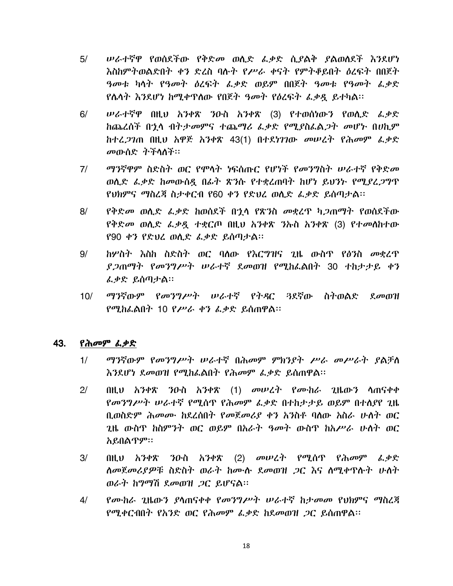- ሠራተኛዋ የወሰደችው የቅድመ ወሲድ ፌቃድ ሲያልቅ ያልወሰደች እንደሆነ  $5/$ እስከምትወልድበት ቀን ድረስ ባሉት የሥራ ቀናት የምትቆይበት ዕረፍት በበጀት ዓመቱ ካሳት የዓመት ዕረፍት ፌቃድ ወይም በበጀት ዓመቱ የዓመት ፌቃድ የሴሳት እንደሆነ ከሚቀጥሰው የበጀት ዓመት የዕረፍት ፌቃዷ ይተካል፡፡
- $6/$ ሥራተኛዋ በዚህ አንቀጽ ንዑስ አንቀጽ (3) የተወሰነውን የወሲድ *ፌቃ*ድ ከጨረሰች በኂሳ ብትታመምና ተጨማሪ ፌቃድ የሚያስፌል*ጋ*ት መሆኑ በሀኪም ከተፈ*ጋገ*ጠ በዚህ አዋጅ አንቀጽ 43(1) በተደነገገው መሠረት የሕመም ፌቃድ መውሰድ ትችላለች።
- ማንኛዋም ስድስት ወር የሞሳት ነፍሰጡር የሆነች የመንግስት ሠራተኛ የቅድመ  $7/$ ወሲድ ፌቃድ ከመውሰዳ በፊት ጽንሱ የተቋረጠባት ከሆነ ይህንት የሚደረጋግጥ የህክምና ማስረጃ ስታቀርብ የ60 ቀን የድህረ ወሲድ ፌቃድ ይሰጣታል።
- $8/$ የቅድመ ወሲድ ፌቃድ ከወሰደች በኂሳ የጽንስ መቋረዋ ካ*ጋ*ጠማት የወሰደችው የቅድመ ወሲድ ፌቃዷ ተቋርጦ በዚህ አንቀጽ ንኡስ አንቀጽ (3) የተመሰከተው የ90 ቀን የድህረ ወሲድ ፌቃድ ይሰጣታል፡፡
- ክሦስት እስከ ስድስት ወር ባለው የእርግዝና ገዜ ውስጥ የፅ3ስ *መ*ቋረጥ  $9/$ ያ ጋጠማት የመንግሥት ሠራተኛ ደመወዝ የሚከፌልበት 30 ተከታታይ ቀን ፌቃድ ይሰጣታል።
- *ማን*ኛውም የ*መንግሥት ሠራተኛ የትዳር ጓ*ደኛው ስትወልድ ደ*መ*ወዝ  $10/$ የሚከራልበት 10 የሥራ ቀን ፌቃድ ይሰጠዋል።

#### 43. የሕመም ፌቃድ

- $1/$ ማንኛውም የመንግሥት ሠራተኛ በሕመም ምክንያት ሥራ መሥራት ያልቻለ እንደሆነ ደመወዝ የሚከፌልበት የሕመም ፌቃድ ይሰጠዋል፡፡
- $2/$ በዚህ አንቀጽ ንዑስ አንቀጽ (1) መሠረት የሙከራ ጊዜውን ሳጠናቀቀ የመንግሥት ሠራተኛ የሚሰጥ የሕመም ፌቃድ በተከታታይ ወይም በተሰያየ ጊዜ በ.ወስድም ሕመሙ ከደረሰበት የመጀመሪያ ቀን አንስቶ ባሰው አስራ ሁስት ወር ጊዜ ውስጥ ከስምንት ወር ወይም በአራት ዓመት ውስጥ ከአሥራ ሁለት ወር አይበልጥም፡፡
- በዚህ አንቀጽ ንዑስ አንቀጽ (2) መሠረት የሚሰዋ የሕመም ፌቃድ  $3/$ ለመጀመሪያዎቹ ስድስት ወራት ከሙሉ ደመወዝ *ጋ*ር እና ለሚቀዋሱት ሁለት ወራት ከግማሽ ደመወዝ ጋር ይሆናል።
- $4/$ የሙከራ ጊዜውን ያሳጠናቀቀ የመንግሥት ሠራተኛ ከታመመ የህክምና ማስረጃ የሚቀርብበት የአንድ ወር የሕመም ፌቃድ ከደመወዝ ጋር ይሰጠዋል።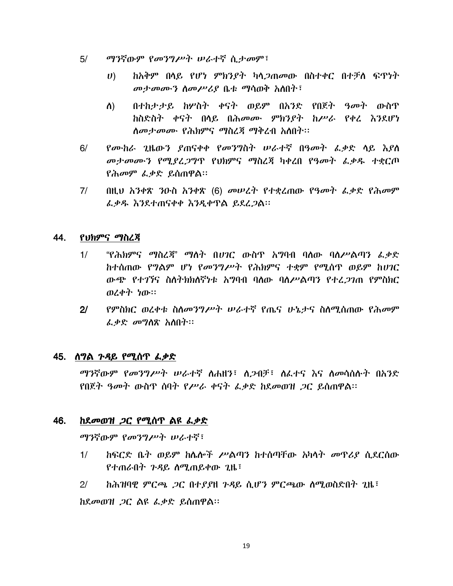- $5/$ ማንኛውም የመንግሥት ሠራተኛ ሲታመም፣
	- ከአቅም በላይ የሆነ ምክንያት ካላ*ጋ*ጠመው በስተቀር በተቻለ ፍጥነት  $\boldsymbol{U}$ መታመሙን ስመሥሪያ ቤቱ ማሳወቅ አስበት፣
	- ስ) በተከታታይ ከሦስት ቀናት ወይም በአንድ የበጀት ዓመት ውስጥ ከስድስት ቀናት በላይ በሕመሙ ምክንያት ከሥራ የቀረ እንደሆነ ለመታመሙ የሕክምና ማስረጃ ማቅረብ አለበት፡፡
- የሙከራ ጊዜውን ያጠናቀቀ የመንግስት ሠራተኛ በዓመት ፌቃድ ሳይ እያስ  $6/$ መታመሙን የሚያፈጋግጥ የህክምና ማስረጃ ካቀረበ የዓመት ፌቃዱ ተቋርጦ *የሕመም ፌቃ*ድ ይሰጠዋል።
- በዚህ አንቀጽ ንዑስ አንቀጽ (6) መሠረት የተቋረጠው የዓመት ፌቃድ የሕመም  $7/$ ፌቃዱ እንደተጠናቀቀ እንዲቀጥል ይደረ*ጋ*ል።

#### 44. የህክምና ማስረጃ

- "የሕክምና ማስረጃ" ማለት በሀገር ውስጥ አግባብ ባለው ባለሥልጣን ፌቃድ  $1/$ ከተሰጠው የግልም ሆነ የመንግሥት የሕክምና ተቋም የሚሰጥ ወይም ከሀገር ውጭ የተገኘና ስለትክክለኛነቱ አግባብ ባለው ባለሥልጣን የተፈ*ጋገ*ጠ የምስክር ወረቀት ነው።
- $2<sup>1</sup>$ የምስክር ወረቀቱ ስለመንግሥት ሠራተኛ የጤና ሁኔታና ስለሚሰጠው የሕመም ፌቃድ መግለጽ አለበት።

## <u>45. ሰግል *ጉዳ*ይ የሚሰጥ *ፌቃ*ድ</u>

*ማን*ኛውም *የመንግሥት ሠራተኛ* ስሐዘን፣ ስ*ጋ*ብቻ፣ ስፌተና እና ስመሳሰሱት በአንድ <u>የበጀት ዓመት ውስጥ ሰባት የሥራ ቀናት ፌቃድ ከደመወዝ *ጋ*ር ይሰጠዋል።</u>

#### 46. *ከደመወዝ ጋ*ር የሚሰጥ ልዩ *ሌቃ*ድ

ማንኛውም የመንግሥት ሠራተኛ፣

- <u>ከፍርድ ቤት ወይም ከሌሎች ሥልጣን ከተሰጣቸው አካሳት *መ*ዋሪያ ሲደርሰው</u>  $1/$ የተጠራበት ንዳይ ስሚጠይቀው ጊዜ፣
- $2<sup>1</sup>$ ከሕዝባዊ ምርጫ ጋር በተያያዘ ጉዳይ ሲሆን ምርጫው ሰሚወስድበት ጊዜ፣

ከደመወዝ *ጋ*ር ልዩ ፌቃድ ይሰጠዋል።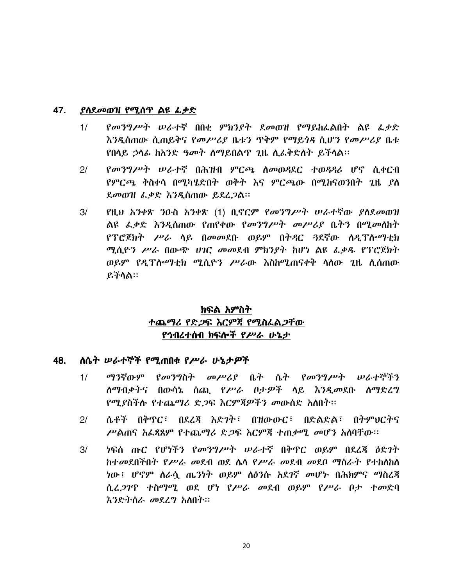#### 47. ያስደመወዝ የሚሰጥ ልዩ ፌቃድ

- የመንግሥት ሠራተኛ በበቂ ምክንያት ደመወዝ የማይከፌልበት ልዩ ፌቃድ  $1/$ <u>እንዲሰጠው ሲጠይቅና የመሥሪያ ቤቱን ጥቅም የማይጎዳ ሲሆን የመሥሪያ ቤቱ</u> <u>የበሳይ ኃሳፊ ከአንድ ዓመት ሰማይበልጥ ጊዜ ሲፌቅድስት ይችሳል፡፡</u>
- $2/$ *የመንግሥት ሠራተኛ* በሕዝብ ምርጫ ስመወዳደር ተወዳዳሪ ሆኖ ሲቀርብ *የምርጫ ቅ*ስቀሳ በሚካሄድበት ወቅት እና ምርጫው በሚከናወንበት ጊዜ ያለ ደመወዝ ፌቃድ እንዲሰጠው ይደረ*ጋ*ል፡፡
- $3/$ የዚህ አንቀጽ ንዑስ አንቀጽ (1) ቢኖርም የመንግሥት ሠራተኛው ያለደመወዝ ልዩ ፌቃድ እንዲሰጠው የጠየቀው የመንግሥት መሥሪያ ቤትን በሚመስከት የፕሮጀክት ሥራ ሳይ በመመደቡ ወይም በትዳር 3ደኛው ሰዲፕሎማቲክ ሚሲዮን ሥራ በውጭ ሀገር መመደብ ምክንያት ከሆነ ልዩ ፌቃዱ የፕሮጀክት ወይም የዲፕሎማቲክ ሚሲዮን ሥራው እስከሚጠናቀቅ ሳስው ጊዜ ሲሰጠው ይችላል።

# ክፍል አምስት ተጨማሪ የድ*ጋ*ፍ እርምጃ የሚስራል*ጋ*ቸው የኅብረተሰብ ክፍሎች የሥራ ሁኔታ

#### 48. <u>ስሴት ሠራተኞች የሚጠበቁ የሥራ ሁኔታዎች</u>

- $1/$ ማንኛውም የመንግስት መሥሪያ ቤት ሴት የመንግሥት ሠራተኞችን ለማብቃትና በውሳኔ ሰጪ *የሥራ በታዎች* ላይ *እንዲ*መደቡ ለማድረግ የሚያስችሉ የተጨማሪ ድ*ጋ*ፍ እርምጃዎችን መውሰድ አስበት።
- $2<sup>1</sup>$ ሴቶች በቅጥር፣ በደረጃ እድንት፣ በዝውውር፣ በድልድል፣ በትምህርትና ሥልጠና አፌጻጸም የተጨማሪ ድጋፍ እርምጃ ተጠቃሚ መሆን አስባቸው።
- <u>ነፍሰ ጡር የሆነችን የመንግሥት ሠራተኛ በቅጥር ወይም በደረጃ ዕድገት</u>  $3/$ ከተመደበችበት የሥራ መደብ ወደ ሴሳ የሥራ መደብ መደቦ ማስራት የተከሰከሰ ነው፤ ሆኖም ስራሷ ጤንነት ወይም ስፅንሱ አደገኛ መሆኑ በሕክምና ማስረጃ ሲፈ*ጋገ*ጥ ተስማሚ ወደ ሆነ የሥራ መደብ ወይም የሥራ ቦታ ተመድባ እንድትስራ መደረግ አስበት።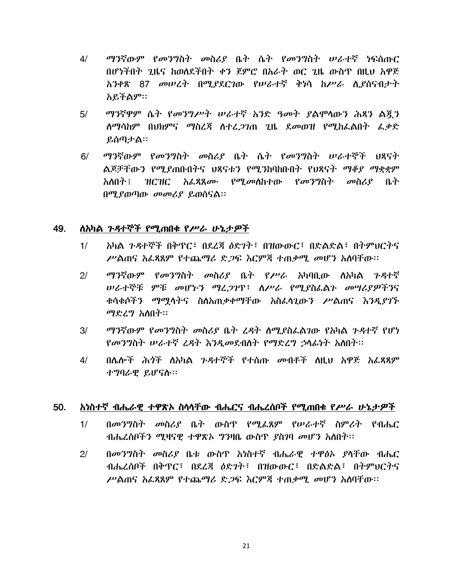- ማንኛውም የመንግስት መስሪያ ቤት ሴት የመንግስት ሠራተኛ ነፍሰጡር  $4/$ በሆነችበት ጊዜና ከወሰደችበት ቀን ጀምሮ በአራት ወር ጊዜ ውስጥ በዚህ አዋጅ አንቀጽ 87 መሠረት በሚያደርገው የሠራተኛ ቅነሳ ከሥራ ሲያሰናብታት አይችልም።
- ማንኛዋም ሴት የመንግሥት ሠራተኛ አንድ ዓመት ያልሞሳውን ሕጻን ልጇን  $5/$ ለማሳከም በህክምና ማስረጃ ለተረ*ጋገ*ጠ ጊዜ ደመወዝ የሚከፌልበት *ሌቃ*ድ ይሰጣታል።
- ማንኛውም የመንግስት መስሪያ ቤት ሴት የመንግስት ሠራተኞች ህጻናት  $6/$ ልጆቻቸውን የሚያጠቡበትና ህጻናቱን የሚንከባከቡበት የህጻናት ማቆያ ማቋቋም አለበት ፡ ዝርዝር አፈጸጸ*ሙ የማ* መለከተው *የመንግ*ስት መስሪ*የ* ቤት በሚያወጣው መመሪያ ይወሰናል።

#### 49. ለአካል *ጉዳ*ተኞች የሚጠበቁ የ*ሥራ* ሁኔታ*ዎች*

- አካል ንዳተኞች በቅጥር፣ በደረጃ ዕድንት፣ በዝውውር፣ በድልድል፣ በትምህርትና  $1/$ ሥልጠና አፌጻጸም የተጨማሪ ድጋፍ እርምጃ ተጠቃሚ መሆን አስባቸው።
- ማንኛውም የመንግስት መስሪያ ቤት የሥራ አካባቢው ስአካል ጉዳተኛ  $2<sup>1</sup>$ ሠራተኞቹ ምቹ መሆኑን ማሬጋገዋ፣ ስሥራ የሚያስፌልጉ መሣሪያዎችንና ቁሳቁሶችን ማማሳትና ስለአጠቃቀማቸው አስፌሳጊውን ሥልጠና እንዲያገኙ *ማድረግ አ*ስበት፡፡
- ማንኛውም የመንግስት መስሪያ ቤት ሬዳት ስሚያስፌልገው የአካል ጉዳተኛ የሆነ  $3/$ የመንግስት ሠራተኛ ሬዳት እንዲመደብስት የማድረግ ኃሳፊነት አስበት፡፡
- በሌሎች ሕጎች ስአካል ንዳተኞች የተሰጡ መብቶች ስዚህ አዋጅ አፌጻጻም  $4/$ ተግባራዊ ይሆናሉ።

#### <u>አነስተኛ ብሔራዊ ተዋጽኦ ስሳሳቸው ብሔርና ብሔረሰቦች የሚጠበቁ የሥራ ሁኔታዎች</u> 50.

- በመንግስት መስሪያ ቤት ውስጥ የሚፌጸም የሠራተኛ ስምሪት የብሔር  $1/$ ብሔረሰቦችን ሚዛናዊ ተዋጽኦ ግንዛቤ ውስጥ ያስገባ መሆን አስበት፡፡
- $2<sup>1</sup>$ በመንግስት መስሪያ ቤቱ ውስጥ አነስተኛ ብሔራዊ ተዋፅኦ ያሳቸው ብሔር ብሔረሰቦች በቅጥር፣ በደረጃ ዕድንት፣ በዝውውር፣ በድልድል፣ በትምህርትና ሥልጠና አፌጻጸም የተጨማሪ ድ*ጋ*ፍ እርምጃ ተጠቃሚ መሆን አስባቸው።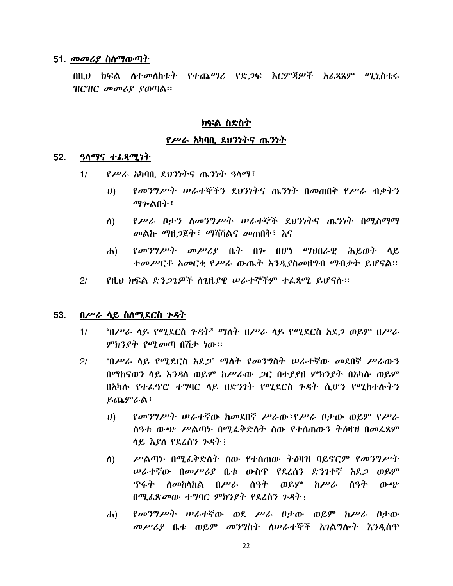### 51. *መመሪያ* ስለማውጣት

በዚህ ክፍል ለተመለከቱት የተጨማሪ የድጋፍ እርምጃዎች አፌጻጸም ሚኒስቴሩ ዝርዝር መመሪያ ያወጣል።

## <u>ክፍል ስድስት</u>

## የሥራ አካባቢ ደህንነትና ጤንነት

#### $52.$ *ዓ*ላማና ተ*ልጻሚነ*ት

- $P$ ሥራ አካባቢ ደህንነትና ጤንነት ዓላማ፤  $1/$ 
	- የመንግሥት ሠራተኞችን ደህንነትና ጤንነት በመጠበቅ የሥራ ብቃትን  $\boldsymbol{U}$ ማን•ልበት፣
	- የሥራ ቦታን ስመንግሥት ሠራተኞች ደህንነትና ጤንነት በሚስማማ ለ) መልኩ ማዘጋጀት፤ ማሻሻልና መጠበቅ፤ እና
	- $\ell$ መንግሥት መሥሪያ ቤት በ $\nu$  በሆነ ማህበራዊ ሕይወት ላይ  $\mathbf{d}$ ተመሥርቶ አመርቂ የሥራ ውጤተ እንዲያስመዘግብ ማብቃት ይሆናል።
- $2/$ የዚህ ክፍል ድን*ጋጌዎች ስጊ*ዜያዊ ሠራተኞችም ተፈጸሚ ይሆናሉ።

#### 53. በሥራ ሳይ ስስሚደርስ ጉዳት

- $1/$ "በሥራ ሳይ የሚደርስ ንዳት" ማስት በሥራ ሳይ የሚደርስ አደ*ጋ* ወይም በሥራ *ምክንያት የሚመ*ጣ በሽታ *ነ*ው።
- "በሥራ ሳይ የሚደርስ አደ*ጋ*" ማስት የመንግስት ሠራተኛው መደበኛ ሥራውን  $2<sup>1</sup>$ በማከናወን ላይ እንዳለ ወይም ከሥራው *ጋ*ር በተያያዘ ምክንያት በአካሉ ወይም በአካሱ የተፌዋሮ ተግባር ላይ በድንገት የሚደርስ ጉዳት ሲሆን የሚከተሱትን ይጨምራል !
	- የመንግሥት ሠራተኛው ከመደበኛ ሥራው፣የሥራ ቦታው ወይም የሥራ  $\boldsymbol{U}$ ሰዓቱ ውጭ ሥልጣኑ በሚፌቅድስት ሰው የተሰጠውን ትዕዛዝ በመፌጸም ሳይ እያስ የደረሰን ጉዳት !
	- ሥልጣኑ በሚፌቅድስት ሰው የተሰጠው ትዕዛዝ ባይኖርም የመንግሥት ስ) *ሠራተ*ኛው በመሥሪያ ቤቱ ውስዋ የደረሰን ድንገተኛ አደ*ጋ* ወይም ዋፋት ስመከሳከል በሥራ ሰዓት ወይም ከሥራ ሰዓት ውጭ በሚፌጽመው ተግባር ምክንያት የደረሰን ጉዳት !
	- የመንግሥት ሠራተኛው ወደ ሥራ በታው ወይም ከሥራ በታው  $\mathbf{d}$ መሥሪያ ቤቱ ወይም መንግስት ስሠራተኞች አገልግሎት እንዲሰጥ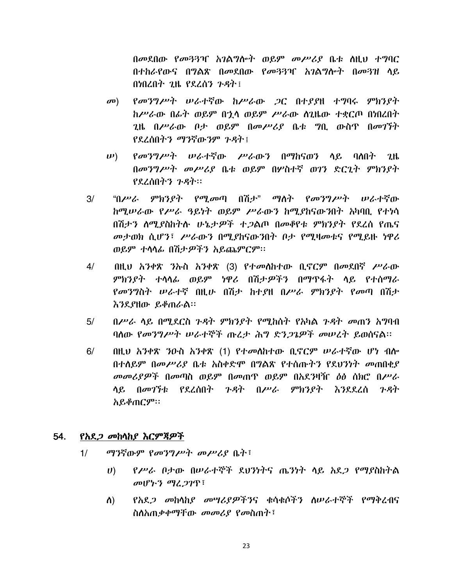በመደበው የመጓጓዣ አገልግሎት ወይም መሥሪያ ቤቱ ስዚህ ተግባር በተከራየውና በግልጽ በመደበው የመጓጓዣ አገልግሎት በመጓዝ ላይ በነበረበት ጊዜ የደረሰን  $\mathcal{P}$ ዳት ፤

- *የመንግሥት ሠራተ*ኛው ከሥራው *ጋ*ር በተያያዘ ተግባሩ ምክንያት  $\mathbf{C}(\mathbf{D})$ ከሥራው በፊት ወይም በኋላ ወይም ሥራው ስጊዜው ተቋርጦ በነበረበት 211 በሥራው ቦታ ወይም በመሥሪያ ቤቱ ግቢ ውስጥ በመገኘት የደረሰበትን ማንኛውንም ጉዳት !
- የመንግሥት ሠራተኛው ሥራውን በማከናወን ላይ ባለበት ጊዜ  $\n \boldsymbol{\nu}$ በመንግሥት መሥሪያ ቤቱ ወይም በሦስተኛ ወገን ድርጊት ምክንያት የደረሰበትን ጉዳት።
- "በሥራ ምክንያት የሚመጣ በሽታ" ማስት የመንግሥት ሠራተኛው  $3/$ ከሚሠራው የሥራ ዓይነት ወይም ሥራውን ከሚያከናውንበት አካባቢ የተነሳ በሽታን ለሚያስከትሉ ሁኔታዎች ተጋልጦ በመቆየቱ ምክንያት የደረሰ የጤና መታወክ ሲሆን፣ ሥራውን በሚያከናውንበት ቦታ የሚዛመቱና የሚይዙ ነዋሪ ወይም ተሳሳፊ በሽታዎችን አይጨምርም።
- $4/$ በዚህ አንቀጽ ንኡስ አንቀጽ (3) የተመሰከተው ቢኖርም በመደበኛ ሥራው ምክንያት ተሳሳፊ ወይም ነዋሪ በሽታዎችን በማጥፋት ሳይ የተሰማራ የመንግስት ሠራተኛ በዚሁ በሽታ ከተያዘ በሥራ ምክንያት የመጣ በሽታ እንደያዘው ይቆጠራል።
- $5/$ በሥራ ሳይ በሚደርስ ጉዳት ምክንያት የሚከሰት የአካል ጉዳት መጠን አግባብ ባለው የመንግሥት ሠራተኞች ጡረታ ሕግ ድንጋጌዎች መሠረት ይወስናል።
- $6/$ በዚህ አንቀጽ ንዑስ አንቀጽ (1) የተመሰከተው ቢኖርም ሠራተኛው ሆነ ብሎ በተለይም በመሥሪያ ቤቱ አስቀድሞ በግልጽ የተሰጡትን የደህንነት መጠበቂያ *መመሪያዎች* በመጣስ ወይም በመጠዋ ወይም በአደ*ን*ዛዥ *ዕ*ፅ ሰክሮ በሥራ ሳይ በመገኘቱ የደፈሰበት ጉዳት በሥራ ምክንያት እንደደፈሰ ጉዳት አይቆጠርም።

#### 54. *የአደጋ መከ*ሳስ*ያ እርምጃዎች*

- ማንኛውም የመንግሥት መሥሪያ ቤት፣  $1/$ 
	- የሥራ ቦታው በሠራተኞች ደሀንነትና ጤንነት ላይ አደ*ጋ* የማያስከትል  $\boldsymbol{U}$ መሆኑን ማረጋገጥ፣
	- የአደ*ጋ መከ*ሳከ*ያ መሣሪያዎችን*ና ቁሳቁሶችን ስሠራተኞች የማቅረብና ስ) ስስአጠቃቀማቸው መመሪያ የመስጠት፣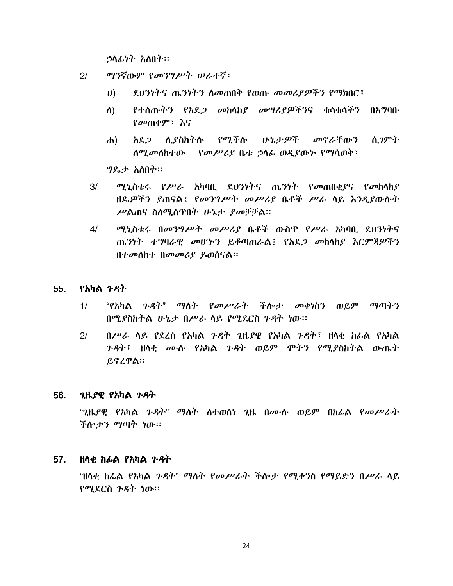ኃሳፊነት አስበት።

- $2/$ ማንኛውም የመንግሥት ሠራተኛ፣
	- ደህንነትና ጤንነትን ስመጠበቅ የወጡ መመሪያዎችን የማክበር፣  $\boldsymbol{U}$ )
	- የተሰጡትን የአደ*ጋ መ*ከሳከ*ያ መሣሪያዎችን*ና ቁሳቁሳችን በአግባቡ ስ) *የመ*ጠቀም፣ እና
	- አደ*ጋ* ሲያስከትሉ የሚችሉ ሁኔታ*ዎ*ች መኖራቸውን ሲ*ገ*ምት  $\mathbf{d}$ *ስሚመስከተው የመሥሪያ* ቤቱ ኃሳፊ ወዲያው*ኑ የ*ማሳወቅ፣

*ግ*ዶታ አስበት።

- ሚኒስቴሩ የሥራ አካባቢ ደህንነትና ጤንነት የመጠበቂያና የመከሳከያ  $3/$ ዘዴዎችን ያጠናል፤ የመንግሥት መሥሪያ ቤቶች ሥራ ሳይ እንዲያውሱት ሥልጠና ስስሚሰጥበት ሁኔታ ያመቻቻል።
- ሚኒስቴሩ በመንግሥት መሥሪያ ቤቶች ውስዋ የሥራ አካባቢ ደህንነትና  $4/$ ጤንነት ተግባራዊ መሆኑን ይቆጣጠራል፤ የአደጋ መከሳከያ እርምጃዎችን በተመሰከተ በመመሪያ ይወሰናል።

#### 55. የአካል *ጉዳ*ት

- "የአካል ጉዳት" ማለት የመሥራት ችሎታ መቀነስን ወይም ማጣትን  $1/$ በሚያስከትል ሁኔታ በሥራ ሳይ የሚደርስ ጉዳት ነው።
- $0$ ሥራ ሳይ የደረሰ የአካል ጉዳት ጊዜያዊ የአካል ጉዳት፣ ዘሳቂ ከራል የአካል  $2/$ ንዳት፤ ዘሳቂ ሙሉ የአካል ንዳት ወይም ሞትን የሚያስከትል ውጤት ይኖረዋል።

#### 56. *ጊ*ዜ*ያዊ የአ*ካል *ጉዳ*ት

"ጊዜያዊ የአካል ጉዳት" ማስት ስተወሰነ ጊዜ በሙስ ወይም በከፊል የመሥራት ችሎታን *ማ*ጣት ነው።

#### 57. in *hሌ*ል የአካል *ጉዳ*ት

"ዘሳቂ ከፊል የአካል *ጉዳት" ማ*ስት የመሥራት ችሎታ የሚቀንስ የማይድን በሥራ ሳይ የሚደርስ ጉዳት ነው።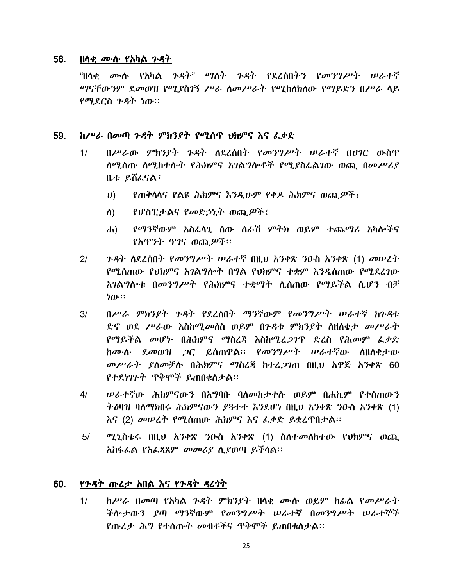#### 58. ዘሳቂ *መ*•ሱ የአካል *ጉዳ*ት

"ዘላቂ *ሙ*ሉ የአካል ን*ዳት" ማ*ለት ን*ዳት የ*ደረሰበትን የመንግሥት ሠራተኛ ማናቸውንም ደመወዝ የሚያስገኝ ሥራ ስመሥራት የሚከስክስው የማይድን በሥራ ሳይ የሚደርስ ጉዳት ነው።

#### 59. ከሥራ በመጣ ጉዳት ምክንያት የሚሰጥ ህክምና እና ፌቃድ

- በሥራው ምክንያት ጉዳት ስደረሰበት የመንግሥት ሠራተኛ በሀገር ውስጥ  $1/$ <u>ለሚሰጡ ለሚከተሱት የሕክምና አገልግሎቶች የሚያስፌልገው ወጪ በመሥሪያ</u> ቤቱ ይሽፌናል፤
	- የጠቅሳሳና የልዩ ሕክምና እንዲሁም የቀዶ ሕክምና ወጪዎች፤  $\boldsymbol{U}$
	- የሆስፒታልና የመድኃኒት ወጪዎች፤ ለ)
	- የማንኛውም አስፈሳጊ ሰው ሰራሽ ምትክ ወይም ተጨማሪ አካሎችና  $\mathbf{d}$ የአዋንት ዋንና ወጪዎች።
- $2/$ ንዳት ስደረሰበት የመንግሥት ሠራተኛ በዚህ አንቀጽ ንዑስ አንቀጽ (1) መሠረት የሚሰጠው የህክምና አንልግሎት በግል የህክምና ተቋም እንዲሰጠው የሚደረገው አገልግሎቱ በመንግሥት የሕክምና ተቋማት ሊሰጠው የማይችል ሲሆን ብቻ ነው።
- $3/$ በሥራ ምክንያት ጉዳት የደረሰበት ማንኛውም የመንግሥት ሠራተኛ ከጉዳቱ ድኖ ወደ ሥራው እስከሚመለስ ወይም በንዳቱ ምክንያት ለዘለቂታ መሥራት የማይችል መሆኑ በሕክምና ማስረጃ እስከሚረ*ጋገ*ጥ ድረስ የሕመም ፌቃድ ከሙሉ ደመወዝ *ጋ*ር ይሰጠዋል። የመንግሥት ሠራተኛው ስዘስቂታው መሥራት ያስመቻሉ በሕክምና ማስረጃ ከተፈ*ጋገ*ጠ በዚህ አዋጅ አንቀጽ 60 የተደነገጉት ዋቅሞች ይጠበቁስታል፡፡
- $4/$ ሥራተኛው ሕክምናውን በአግባቡ ባለመከታተሱ ወይም በሐኪም የተሰጠውን ትዕዛዝ ባለማክበሩ ሕክምናውን ደጓተተ እንደሆነ በዚህ አንቀጽ ንዑስ አንቀጽ (1) እና (2) መሠረት የሚሰጠው ሕክምና እና ፌቃድ ይቋረጥበታል፡፡
- $5/$ ሚኒስቴሩ በዚህ አንቀጽ ንዑስ አንቀጽ (1) ስስተመስከተው የህክምና ወጪ አከፋፌል የአፌጻጸም መመሪያ ሲያወጣ ይችሳል፡፡

#### 60. የንዳት ጡረታ አበል እና የንዳት ዳረንት

ከሥራ በመጣ የአካል ጉዳት ምክንያት ዘላቂ ሙሉ ወይም ከፊል የመሥራት  $1/$ ችሎታውን ያጣ ማንኛውም የመንግሥት ሠራተኛ በመንግሥት ሠራተኞች የጡረታ ሕግ የተሰጡት መብቶችና ጥቅሞች ይጠበቁስታል፡፡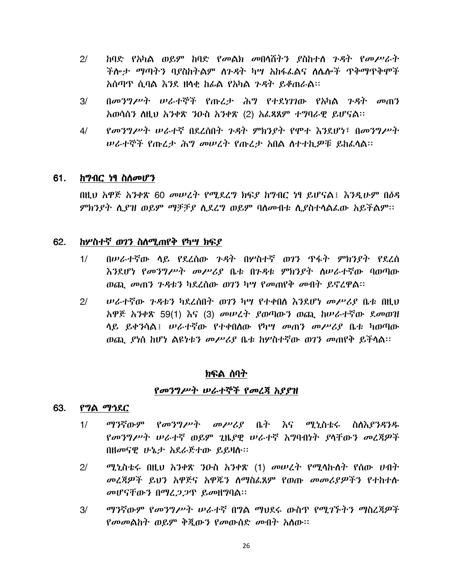- $2/$ ከባድ የአካል ወይም ከባድ የመልክ መበሳሽትን ያስከተለ ጉዳት የመሥራት ችሎታ ማጣትን ባያስከትልም ሰንዳት ካሣ አከፋፌልና ለሴሎች ጥቅማጥቅሞች አሰጣጥ ሲባል እንደ ዘሳቂ ከፊል የአካል *ጉዳ*ት ይቆጠራል፡፡
- $3/$ በመንግሥት ሠራተኞች የጡረታ ሕግ የተደነገገው የአካል ንዳት መጠን አወሳሰን ስዚህ አንቀጽ ንዑስ አንቀጽ (2) አፌጻጸም ተግባራዊ ይሆናል፡፡
- $4/$ የመንግሥት ሠራተኛ በደረሰበት ጉዳት ምክንያት የሞተ እንደሆነ፣ በመንግሥት ሠራተኞች የጡረታ ሕግ መሠረት የጡረታ አበል ስተተከዎቹ ይከፈሳል፡፡

#### 61. <u>ከማብር ነፃ ስለመሆን</u>

በዚህ አዋጅ አንቀጽ 60 መሠረት የሚደረግ ክፍደ ከግብር ነፃ ይሆናል፤ እንዲሁም በዕዳ ምክንያት ሲያዝ ወይም ማቻቻያ ሲደረግ ወይም ባሰመብቱ ሲያስተሳልፌው አይችልም፡፡

#### 62. ከሦስተኛ ወገን ስስሚጠየቅ የካሣ ክፍያ

- በሥራተኛው ሳይ የደረሰው ንዳት በሦስተኛ ወገን ጥፋት ምክንያት የደረሰ  $1/$ እንደሆነ የመንግሥት መሥሪያ ቤቱ በንዳቱ ምክንያት ስሠራተኛው ባወጣው ወጪ መጠን ጉዳቱን ካደረሰው ወገን ካሣ የመጠየቅ መብት ይኖረዋል፡፡
- ሥራተኛው *ጉዳ*ቱን ካደረሰበት ወገን ካሣ የተቀበሰ እንደሆነ መሥሪያ ቤቱ በዚህ  $2/$ አዋጅ አንቀጽ 59(1) እና (3) መሠረት ያወጣውን ወጪ ከሠራተኛው ደመወዝ ሳይ ይቀንሳል፤ *ሡራተኛ*ው የተቀበሰው የካሣ *መ*ጠን *መሥሪ*ያ ቤቱ ካወጣው ወጪ. ያነስ ከሆነ ልዩነቱን መሥሪያ ቤቱ ከሦስተኛው ወገን መጠየቅ ይችላል።

### ክፍል ሰባት

### የመንግሥት ሠራተኞች የመረጃ አያያዝ

#### 63. የግል ማኅደር

- $1/$ *ማን*ኛውም *የመንግሥት መሥሪያ* ቤት እና ሚኒስቴሩ ስለእያንዳንዱ የመንግሥት ሠራተኛ ወይም ጊዜያዊ ሠራተኛ አግባብነት ያሳቸውን መረጃዎች በዘመናዊ ሁኔታ አደራጅተው ይይዛሉ።
- $2/$ *ሚኒ*ስቴሩ በዚህ አንቀጽ ንዑስ አንቀጽ (1) መሠረተ የሚሳኩስተ የሰው ሀብተ መረጃዎች ይህን አዋጅና አዋጁን ስማስፌጸም የወጡ መመሪያዎችን የተከተሱ መሆናቸውን በማፈ*ጋጋ*ጥ ይመዘግባል።
- ማንኛውም የመንግሥት ሠራተኛ በግል ማህደሩ ውስጥ የሚገኙትን ማስረጃዎች  $3/$ *የመመ*ልከት ወይም ቅጀውን የመውሰድ መብት አስው።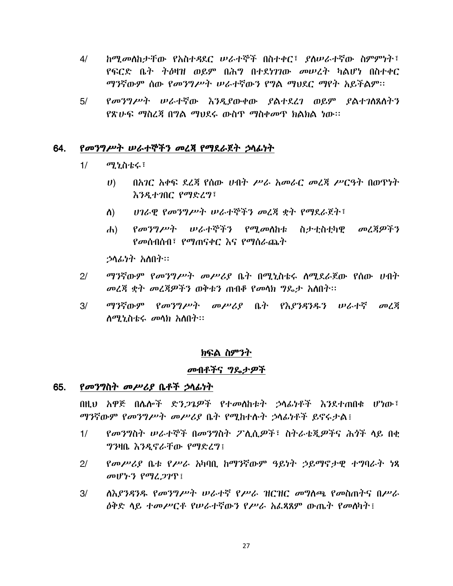- $4/$ ከሚመለከታቸው የአስተዳደር ሠራተኞች በስተቀር፣ ያስሠራተኛው ስምምነት፣ የፍርድ ቤት ትዕዛዝ ወይም በሕግ በተደነገገው መሠረት ካልሆነ በስተቀር ማንኛውም ሰው የመንግሥት ሠራተኛውን የግል ማህደር ማየት አይችልም።
- $5/$ የመንግሥተ ሠራተኛው እንዲያውቀው ያልተደረገ ወይም ያልተገለጸለተን የጽሁፍ ማስረጃ በግል ማህደሩ ውስጥ ማስቀመጥ ክልክል ነው።

#### 64. የመንግሥት ሠራተኞችን መረጃ የማደራጀት ኃሳፊነት

- $1/$ ሚኒስቴሩ፣
	- $\boldsymbol{U}$ በአገር አቀፍ ደረጃ የሰው ሀብት ሥራ አመራር መረጃ ሥርዓት በወዋነት እንዲተገበር የማድረግ፣
	- ሀገራዊ የመንግሥት ሠራተኞችን መረጃ ቋት የማደራጀት፣  $\Lambda$
	- *የመንግሥት ሠራተኞችን የሚመ*ልክቱ ስታተስተካዊ መረጃዎችን  $\mathbf{d}$ የመሰብሰብ፣ የማጠናቀር እና የማሰራጨት

ኃሳፊነት አስበት።

- ማንኛውም የመንግሥት መሥሪያ ቤት በማነስቴሩ ስማደራጀው የሰው ሀብት  $2<sup>1</sup>$ መረጃ ቋት መረጃዎችን ወቅቱን ጠብቆ የመሳክ ግዴታ አለበት፡፡
- $3/$ ማንኛውም የመንግሥት መሥሪያ ቤት የእያንዳንዱን ሠራተኛ መረጃ *ስሚኒስቴሩ መ*ሳክ አስበት።

### ክፍል ስምንት

### መብቶችና ግዴታዎች

#### 65. *የመንግ*ስት *መሥሪያ* ቤቶች ኃሳፊነት

በዚህ አዎጅ በሌሎች ድን*ጋጌዎች የተመ*ለከቱት ኃላፊ<del>ነቶች እንደተጠበ</del>ቂ ሆነው፤ ማንኛውም የመንግሥት መሥሪያ ቤት የሚከተሱት ኃሳፊነቶች ይኖሩታል፤

- የመንግስት ሠራተኞች በመንግስት ፖሊሲዎች፣ ስትራቴጂዎችና ሕጎች ላይ በቂ  $1/$ ግንዛቤ እንዲኖራቸው የማድረግ፤
- የመሥሪያ ቤቱ የሥራ አካባቢ ከማንኛውም ዓይነት ኃይማኖታዊ ተግባራት ነጻ  $2<sup>1</sup>$ መሆኑን የማፈጋገጥ፤
- ለእያንዳንዱ የመንግሥት ሠራተኛ የሥራ ዝርዝር መግለጫ የመስጠትና በሥራ  $3/$ *ለቅድ ላይ ተመሥርቶ የሠራተኛ*ው*ን የሥራ አፌጻጸ*ም ውጤት *የመስ*ካት !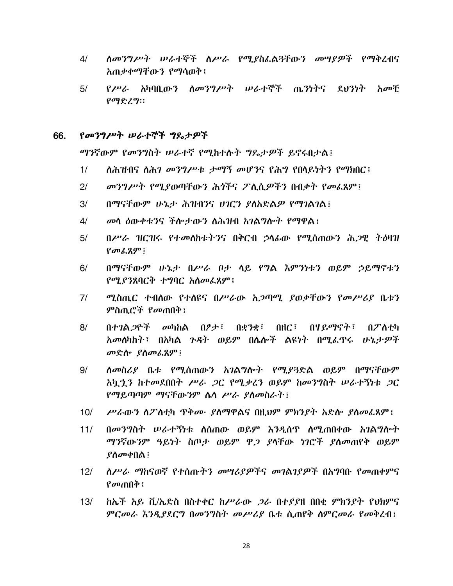- $4/$ ስመንግሥት ሠራተኞች ስሥራ የሚያስፌልጓቸውን መሣያዎች የማቅረብና አጠቃቀማቸውን የማሳወቅ፤
- $5/$ *የሥራ አ*ካባቢው*ን ስመንግሥት ሠራተ*ኞች ጤንነትና ደህንነት *አመቺ*  $\rho$ ማድረማ።

#### 66. የመንግሥት ሠራተኞች ግጼታዎች

ማንኛውም የመንግስት ሠራተኛ የሚከተሱት ግዴታዎች ይኖሩበታል፤

- ለሕዝብና ለሕ*ገ መንግሥቱ ታማኝ መሆን*ና የሕግ የበላይነትን የማክበር፤  $1/$
- መንግሥት የሚያወጣቸውን ሕጎችና ፖሊሲዎችን በብቃት የመፌጸም፤  $2/$
- በማናቸውም ሁኔታ ሕዝብንና ሀገርን ያስአድልዎ የማገልገል፤  $3/$
- መሳ ዕውቀቱንና ችሎታውን ለሕዝብ አገልግሎት የማዋል፤  $4/$
- በሥራ ዝርዝሩ የተመሰከቱትንና በቅርብ ኃሳፊው የሚሰጠውን ሕጋዊ ትዕዛዝ  $5/$  $\mathbf{p}$   $\mathbf{p}$   $\mathbf{p}$   $\mathbf{p}$   $\mathbf{p}$   $\mathbf{p}$   $\mathbf{p}$
- $6/$ በማናቸውም ሁኔታ በሥራ ቦታ ሳይ የግል እምንነቱን ወይም ኃይማኖቱን የሚያንጸባርቅ ተግባር አስመፌጸም !
- $7/$ ሚስጢር ተብለው የተለዩና በሥራው አጋጣሚ ያወቃቸውን የመሥሪያ ቤቱን ምስጢሮች የመጠበቅ፤
- $8/$ በተገል*ጋ*ዮች መካከል በፆታ፣ በቋንቋ፣ በዘር፣ በሃይማኖት፣ インマントカ *አመ*ለካከት፣ በአካል *ጉዳ*ት ወይም በሌሎች ልዩነት በሚፌዋሩ ሁኔ*ታዎ*ች መድሎ ያስመፌጸም፤
- ሰመስሪያ ቤቱ የሚሰጠውን አገልግሎት የሚያጓድል ወይም በማናቸውም  $9/$ <u>አካ*ኂን* ከተመደበበት ሥራ *ጋ*ር የሚቃሪን ወይም ከመንግስት ሠራተኝነቱ *ጋ*ር</u> የማይጣጣም ማናቸውንም ሴሳ ሥራ ያስመስራት፡
- $10/$ ሥራውን ስፖስቲካ ዋቅሙ ያስማዋልና በዚህም ምክንያት አድሎ ያስመፌጸም፤
- በመንግስት ሠራተኝነቱ ስሰጠው ወይም እንዲሰዋ ስሚጠበቀው አገልግሎት  $11/$ ማንኛውንም ዓይነት ስጦታ ወይም ዋ*ጋ ያ*ላቸው ነገሮች ያስመጠየቅ ወይም  $\ell \Lambda \sigma \Phi \Pi \Lambda$  ፤
- $12/$ ለሥራ ማከናወኛ የተሰጡትን መሣሪያዎችና መገልገያዎች በአግባቡ የመጠቀምና  $\ell$ መጠበቅ ፣
- ክኤች አይ ቪ/ኤድስ በስተቀር ከሥራው *ጋ*ራ በተያያዘ በበቂ ምክንያት የህክምና  $13/$ ምርመራ እንዳ የደርግ በመንግስት መሥሪያ ቤቱ ስጠየቅ ስምርመራ የመቅረብ፤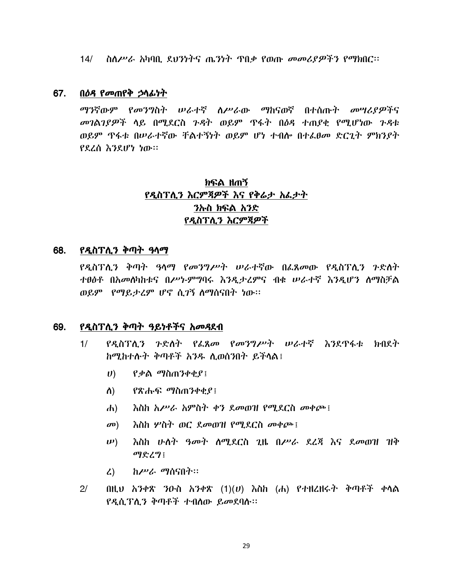14/  $\Delta$  ስለሥራ አካባቢ ደህንነትና ጤንነት ጥበቃ የወጡ መመሪያዎችን የማክበር፡፡

#### 67. <u>በዕዳ የመጠየቅ ኃላፊነት</u>

ማንኛውም የመንግስት ሠራተኛ ስሥራው ማከናወኛ በተሰጡት መሣሪያዎችና መገልገያዎች ላይ በሚደርስ ጉዳት ወይም ጥፋት በዕዳ ተጠያቂ የሚሆነው ጉዳቱ ወይም ጥፋቱ በሥራተኛው ቸልተኝነት ወይም ሆነ ተብሎ በተፌፀመ ድርጊት ምክንያት የደረሰ እንደሆነ ነው።

# ክፍል ዘጠኝ የዲስፕሊን እርምጃዎች እና የቅሬታ አፌታት ንኩስ ክፍል አንድ የዲስፕሊን እርምጃዎች

### 68. የዲስፕሊን ቅጣት ዓላማ

የዲስፕሊን ቅጣት ዓላማ የመንግሥት ሠራተኛው በፌጸመው የዲስፕሊን ንድለት ተፀፅቶ በአመለካከቱና በሥነ-ምግባሩ እንዲታረምና ብቁ ሥራተኛ እንዲሆን ለማስቻል ወይም የማይታረም ሆኖ ሲገኝ ስማሰናበት ነው።

#### 69. *የዲ*ስፕሊን ቅጣት ዓይነቶችና *አመዳ*ደብ

- የዳስፕለን ጉድለት የፈጸመ የመንግሥት ሠራተኛ እንደዋፋቱ ክብደት  $1/$ ከሚከተሉት ቅጣቶች አንዱ ሲወሰንበት ይችላል፤
	- $\ket{U}$  የቃል ማስጠንቀቂያ፤
	- *የጽሑፍ ማ*ስጠንቀቂያ፤ ስ)
	- $\mathbf{d}$ እስከ አሥራ አምስት ቀን ደመወዝ የሚደርስ መቀጮ፤
	- እስከ ሦስት ወር ደመወዝ የሚደርስ መቀጮ ፡  $\mathbf{C}(\mathbf{D})$
	- እስከ ሁለት *ዓመት* ለሚደርስ ጊዜ በሥራ ደረጃ እና ደመወዝ ዝቅ  $(\boldsymbol{\nu})$ ማድረግ፤
	- $\mathcal{L}$ ) *ከሥራ ማ*ሰናበት።
- $2/$ በዚህ አንቀጽ ንውስ አንቀጽ  $(1)(U)$  እስከ  $(d_1)$  የተዘረዘሩት ቅጣቶች ቀሳል የዲሲፕሲን ቅጣቶች ተብሰው ይመደባስ፡፡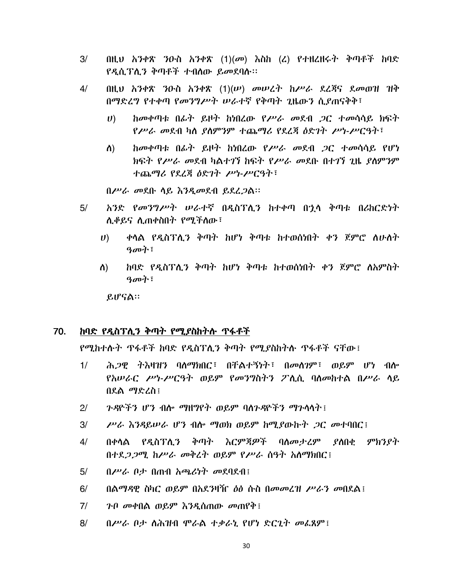- በዚህ አንቀጽ ንውስ አንቀጽ  $(1)(\sigma$  እስከ  $(2)$  የተዘረዘሩት ቅጣቶች ከባድ  $3/$ የዲሲፕሊን ቅጣቶች ተብለው ይመደባሉ፡፡
- 4/ በዚህ አንቀጽ ንዑስ አንቀጽ  $(1)(\nu)$  መሠረት ከሥራ ደረጃና ደመወዝ ዝቅ በማድረግ የተቀጣ የመንግሥት ሠራተኛ የቅጣት ጊዜውን ሲያጠናቅቅ፣
	- ከመቀጣቱ በፊት ይዞት ከነበረው የሥራ መደብ *ጋ*ር ተመሳሳይ ክፍት  $\boldsymbol{U}$ የሥራ መደብ ካስ ያስምንም ተጨማሪ የደረጃ ስድገት ሥነ-ሥርዓት፣
	- ከመቀጣቱ በፊት ይዞት ከነበረው የሥራ መደብ ጋር ተመሳሳይ የሆነ ስ) ክፍት የሥራ መደብ ካልተገኘ ከፍት የሥራ መደቡ በተገኘ ጊዜ ያስምንም ተጨማሪ የደረጃ ዕድገት ሥነ-ሥርዓት፣

በሥራ መደቡ ሳይ እንዲመደብ ይደረጋል።

- አንድ የመንግሥት ሠራተኛ በዲስፕሊን ከተቀጣ በኋላ ቅጣቱ በሪከርድነት  $5/$ ሊቆይና ሊጠቀስበት የሚችሰው፣
	- ቀሳል የዲስፕሊን ቅጣት ከሆነ ቅጣቱ ከተወሰነበት ቀን ጀምሮ ሰሁሰት  $U$ ) ዓመት፡
	- ከባድ የዲስፕሊን ቅጣት ከሆነ ቅጣቱ ከተወሰነበት ቀን ጀምሮ ለአምስት ስ) ዓመት፡

ይሆናል።

#### 70. ከባድ የዲስፕሊን ቅጣት የሚያስከትሱ ጥፋቶች

<u>የሚከተሱት ጥፋቶች ከባድ የዲስፕሊን ቅጣት የሚያስከትሱ ጥፋቶች ናቸው፤</u>

- ሕ*ጋዊ* ትእዛዝን ባለማክበር፤ በቸልተኝነት፤ በመለገም፤ ወይም ሆነ ብሎ  $1/$ የአሠራር ሥነ-ሥርዓት ወይም የመንግስትን ፖሊሲ ባሰመከተል በሥራ ሳይ በደል ማድረስ፤
- ንዳዮችን ሆን ብሎ ማዘማየት ወይም ባስንዳዮችን ማንሳሳት !  $2<sup>1</sup>$
- $3/$ ሥራ እንዳይሠራ ሆን ብሎ ማወክ ወይም ከሚያውኩት ጋር መተባበር !
- በቀላል የዳስፕለ*ን* ቅጣት እርምጃዎች ባለመታረም ያለበቂ ምክንያት  $4/$ በተደ*ጋጋ*ሚ ከሥራ መቅረት ወይም የሥራ ሰዓት አስማክበር !
- $5/$  $0$ ሥራ ቦታ በጠብ አጫሪነት መደባደብ $\overline{\mathbf{r}}$
- $6/$ በልማዳዊ ስካር ወይም በአደንዛዥ *ዕ*ፅ ሱስ በመመረዝ ሥራን መበደል፤
- $7/$ ንብ መቀበል ወይም እንዲሰጠው መጠየቅ፤
- $8/$ በሥራ ቦታ ስሕዝብ ሞራል ተቃራኒ የሆነ ድርጊት መፌጸም፤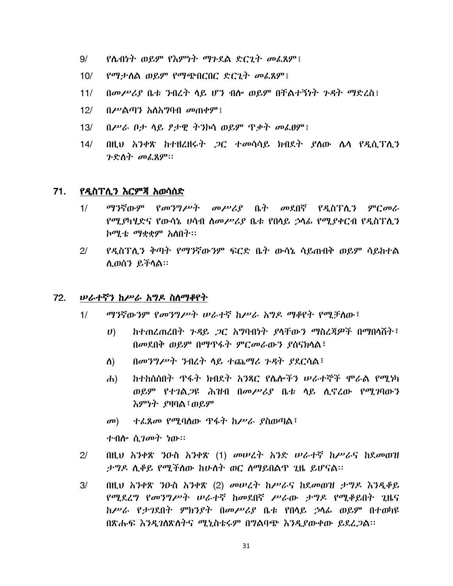- $9/$ <u>የሴብነት ወይም የእምነት ማጉደል ድርጊት መፌጸም፤</u>
- የማታሰል ወይም የማጭበርበር ድርጊት መፌጸም፤  $10/$
- $11/$ በመሥሪያ ቤቱ ንብረት ላይ ሆን ብሎ ወይም በቸልተኝነት ጉዳት ማድረስ፤
- $12/$ በሥልጣን አለአማባብ መጠቀም፤
- በሥራ ቦታ ሳይ ፆታዊ ትንኮሳ ወይም ጥቃት መፌፀም፤  $13/$
- በዚህ አንቀጽ ከተዘረዘሩት *ጋ*ር ተመሳሳይ ክብደት ያለው ሌሳ የዲሲፕሊን  $14/$ ንድስት መፈጸም።

#### 71. የዲስፕሊን እርምጃ አወሳሰድ

- ማንኛውም የመንግሥት መሥሪያ ቤት መደበኛ የዲስፕሲን ምርመራ  $1/$ *የሚያካሂድና የ*ውሳኔ *ሀ*ሳብ *ስመሥሪያ* ቤቱ የበላይ ኃላፊ የሚያቀርብ የዲስፐሊን *ከሚቴ ማቋቋ*ም አስበት፡፡
- $2<sup>1</sup>$ የዲስፐሊን ቅጣት የማንኛውንም ፍርድ ቤት ውሳኔ ሳይጠብቅ ወይም ሳይከተል ሊወሰን ይችላል።

#### 72. *ሠራተኛን ከሥራ አግዶ ስስማቆየት*

- ማንኛውንም የመንግሥት ሠራተኛ ከሥራ አግዶ ማቆየት የሚቻለው፤  $1/$ 
	- ከተጠረጠረበት ጉዳይ ጋር አግባብነት ያላቸውን ማስረጃዎች በማበሳሽት፣  $\boldsymbol{U}$ በመደበቅ ወይም በማዋፋት ምርመራውን ያሰናክሳል፣
	- በመንግሥት ንብረት ሳይ ተጨማሪ ጉዳት ያደርሳል፣  $\Lambda$ )
	- ከተከሰሰበት ጥፋት ክብደት አንጻር የሌሎችን ሠራተኞች ሞራል የሚነካ  $\mathbf{d}$ ወይም የተገል*ጋ*ዩ ሕዝብ በመሥሪያ ቤቱ ሳይ ሲኖረው የሚገባውን እምነት ያዛባል፣ወይም
	- ተፌጸመ የሚባስው ዋፋት ከሥራ ያስወጣል፣  $\mathbf{C}(\mathbf{D})$

ተብሎ ሲ*ገመት ነ*ው።

- $2/$ በዚህ አንቀጽ ንዑስ አንቀጽ (1) መሠረት አንድ ሠራተኛ ከሥራና ከደመወዝ ታግዶ ሲቆይ የሚችስው ከሁስት ወር ስማይበልጥ ጊዜ ይሆናል፡፡
- በዚህ አንቀጽ ንዑስ አንቀጽ (2) መሠረት ከሥራና ከደመወዝ ታግዶ እንዲቆይ  $3/$ የሚደረግ የመንግሥት ሠራተኛ ከመደበኛ ሥራው ታግዶ የሚቆይበት ጊዜና ከሥራ የታገደበት ምክንያት በመሥሪያ ቤቱ የበሳይ ኃሳፊ ወይም በተወካዩ በጽሑፍ እንዲገስጽስትና ሚኒስቴሩም በግልባጭ እንዲያውቀው ይደረ*ጋ*ል፡፡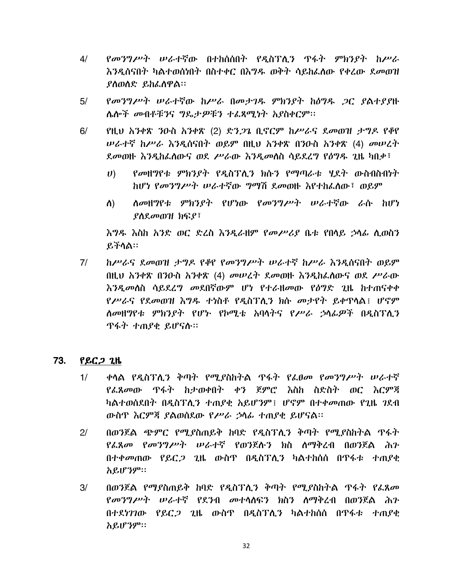- $4/$ የመንግሥት ሠራተኛው በተከሰሰበት የዲስፕሊን ጥፋት ምክንያት ከሥራ እንዲሰናበት ካልተወሰነበት በስተቀር በእግዱ ወቅት ሳይከፌሰው የቀረው ደመወዝ ያስወሰድ ይከፌስዋል።
- የመንግሥት ሠራተኛው ከሥራ በመታገዱ ምክንያት ከዕግዱ ጋር ያልተያያዙ  $5/$ ሌሎች መብቶቹንና ግዴታዎቹን ተፈጻሚነት አያስቀርም፡፡
- $6/$ የዚህ አንቀጽ ንዑስ አንቀጽ (2) ድን*ጋ*ጌ ቢኖርም ከሥራና ደመወዝ ታግዶ የቆየ *ሠራተኛ ከሥራ እንዲ*ሰናበት ወይም በዚህ አንቀጽ በንዑስ አንቀጽ (4) መሠረት ደመወዙ እንዲከፌስውና ወደ ሥራው እንዲመስስ ሳይደረግ የዕግዱ ጊዜ ካበቃ፣
	- *የመ*ዘማየቱ *ምክንያት የዲ*ስፕሊ*ን ክ*ሱን የማጣራቱ ሃደት ውስብስብነት  $\boldsymbol{U}$ ከሆነ የመንግሥት ሠራተኛው ግማሽ ደመወዙ እየተከፈሰው፣ ወይም
	- *ስመ*ዘግየቱ ምክንያት የሆነው የመንግሥት ሠራተኛው ራሱ ከሆነ ስ)  $P$ <sub>0</sub> $R$ <sub>*a*<sup>0</sup> $P$ <sup>1</sup> $R$ <sup>1</sup> $R$ <sup>1</sup> $R$ <sup>1</sup> $R$ <sup>1</sup> $R$ <sup>1</sup> $R$ <sub>1</sub> $R$ <sup>1</sup> $R$ <sub>1</sub> $R$ <sub>1</sub> $R$ <sub>1</sub> $R$ <sub>1</sub> $R$ <sub>1</sub> $R$ <sub>1</sub> $R$ <sub>1</sub> $R$ <sub>1</sub> $R$ <sub>1</sub> $R$ <sub>1</sub> $R$ <sub>1</sub> $R$ <sub>1</sub> $R$ <sub>1</sub> $R$ <sub>1</sub> $R$ <sub>1</sub> $R$ <sub>1</sub> $R$ <sub>1</sub> $R$ <sub>1</sub> $R$ <sub>1</sub> $R$ <sub>1</sub> $R$ <sub>1</sub> $R$ <sub>1</sub> $R$ <sub>1</sub> $R$ <sub>1</sub> $R$ <sub>1</sub> $R$ <sub>1</sub> $$

እግዱ እስከ አንድ ወር ድረስ እንዲራዘም የመሥሪያ ቤቱ የበሳይ ኃሳፊ ሲወስን ይችሳል።

 $7/$ ከሥራና ደመወዝ ታግዶ የቆየ የመንግሥት ሠራተኛ ከሥራ እንዳስናበት ወይም በዚህ አንቀጽ በንዑስ አንቀጽ (4) መሠረት ደመወዙ እንዲከፌሰውና ወደ ሥራው <u>እንዲመሰስ ሳይደረግ መደበኛውም ሆነ የተራዘመው የዕግድ ጊዜ ከተጠናቀቀ</u> የሥራና የደመወዝ እግዱ ተነስቶ የዲስፕሊን ክሱ መታየት ይቀጥለል፤ ሆኖም ለመዘግየቱ ምክንያት የሆኑ የኮሚቴ አባሳትና የሥራ ኃሳፊዎች በዲስፕሲን ዋፋት ተጠያቂ ይሆናሉ።

#### 73. <u>የይር*ጋ* ጊዜ</u>

- ቀሳል የዲስፕሊን ቅጣት የሚያስከትል ጥፋት የፌፀመ የመንግሥት ሠራተኛ  $1/$ የፌጸመው ዋፋት ከታወቀበት ቀን ጀምሮ እስከ ስድስት ወር እርምጃ ካልተወሰደበት በዲስፕሊን ተጠያቂ አይሆንም፤ ሆኖም በተቀመጠው የጊዜ ገደብ ውስጥ እርምጃ ያልወሰደው የሥራ ኃሳፊ ተጠያቂ ይሆናል።
- በወንጀል ጭምር የሚያስጠይቅ ከባድ የዲስፕሊን ቅጣት የሚያስከትል ጥፋት  $2<sup>1</sup>$ የፌጸመ የመንግሥት ሠራተኛ የወንጀሉን ክስ ስማቅረብ በወንጀል ሕን በተቀመጠው የይር*ጋ* ጊዜ ውስጥ በዲስፐሊን ካልተከሰሰ በጥፋቱ ተጠያቂ አይሆንም።
- በወንጀል የማያስጠይቅ ከባድ የዲስፕሲን ቅጣት የሚያስከትል ጥፋት የፌጸመ  $3/$ የመንግሥት ሠራተኛ የደንብ መተሳሰፍን ክስን ስማቅረብ በወንጀል ሕን በተደነገገው የይር*ጋ* ጊዜ ውስዋ በዲስፕሊን ካልተከሰሰ በጥፋቱ ተጠ*ያ*ቂ አይሆንም።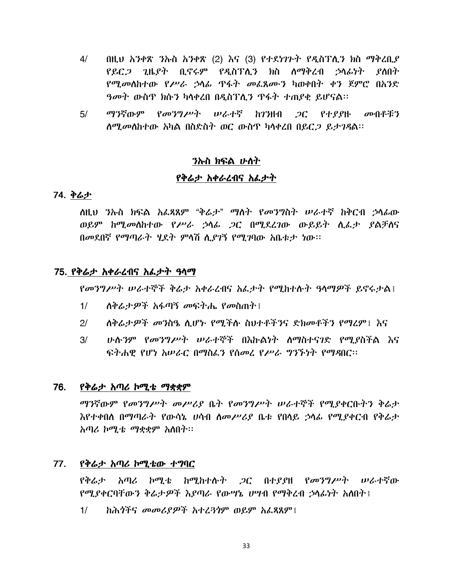- $4/$  $0$ ዚህ አንቀጽ ንኡስ አንቀጽ (2) እና (3) የተደነገጉት የዲስፕሊን ክስ ማቅረቢ $\ell$ የይር*ጋ ጊ*ዜደት ቢኖሩም የዲስፕሊን ክስ ስማቅረብ ኃሳፊነት ደስበት የሚመስከተው የሥራ ኃሳፊ ጥፋት መፈጸሙን ካወቀበት ቀን ጀምሮ በአንድ ዓመት ውስዋ ክሱን ካሳቀረበ በዲስፕሊን ዋፋት ተጠያቂ ይሆናል።
- ማንኛውም የመንግሥት ሠራተኛ ከገንዘብ ጋር የተያያዙ መብቶቹን  $5/$ ሰሚመስከተው አካል በስድስት ወር ውስጥ ካሳቀረበ በይር*ጋ* ይታገዳል፡፡

### *ን*ኩስ ክፍል ሁለት

### የቅሬታ አቀራረብና አፌታት

## 74. ቅሬታ

ስዚህ ንሎስ ክፍል አፌጻጸም "ቅሬታ" ማስት የመንግስት ሠራተኛ ከቅርብ ኃሳፊው ወይም ከሚመስከተው የሥራ ኃሳፊ ጋር በሚደረገው ውይይት ሲፌታ ያልቻስና በመደበኛ የማጣራት ሃደት ምላሽ ሊያገኝ የሚገባው አቤቱታ ነው።

### 75. የቅሬታ አቀራረብና አፌታት ዓላማ

የመንግሥት ሠራተኞች ቅሬታ አቀራረብና አፌታት የሚከተሱት ዓላማዎች ይኖሩታል፤

- $1/$ ለቅሬታዎች አፋጣኝ መፍትሔ የመስጠት !
- $2/$ ለቅሬታዎች መንስዔ ሲሆኑ የሚችሉ ስህተቶችንና ድክመቶችን የማሪም፤ እና
- <u>ሁሉንም የመንግሥት ሠራተኞች በእኩልነት ስማስተናገድ የሚደስችል እና</u>  $3/$ ፍትሐዊ የሆነ አሠራር በማስፌን የሰመረ የሥራ ግንኙነት የማዳበር፡፡

### 76. የቅሬታ አጣሪ ኮሚቴ ማቋቋም

ማንኛውም የመንግሥት መሥሪያ ቤት የመንግሥት ሠራተኞች የሚያቀርቡትን ቅሬታ እየተቀበሰ በማጣራት የውሳኔ ሀሳብ ስመሥሪያ ቤቱ የበሳይ ኃሳፊ የሚያቀርብ የቅሬታ አጣሪ ኮሚቴ ማቋቋም አስበት፡፡

#### 77. የቅሬታ አጣሪ ኮሚቴው ተግባር

የቅሬታ አጣሪ ኮሚቴ ከሚከተሱት *ጋ*ር በተያያዘ የመንግሥት ሠራተኛው የሚያቀርባቸውን ቅሬታዎች እያጣራ የውሣኔ ሆሣብ የማቅረብ ኃላፊነት አስበት፤

ከሕሳችና መመሪያዎች አተረጓጎም ወይም አፌጻጸም !  $1/$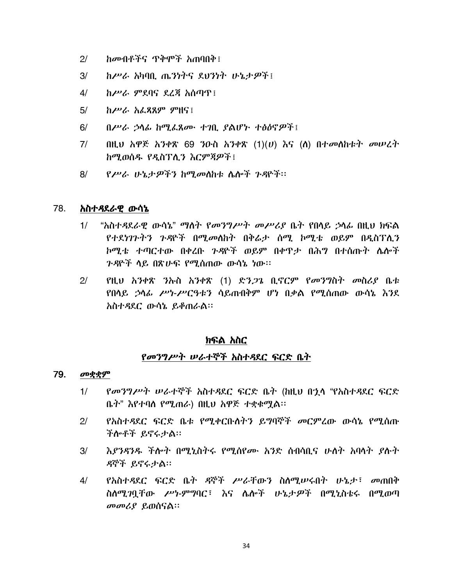- $2/$ ከመብቶችና ጥቅሞች አጠባበቅ፤
- $3/$ ከሥራ አካባቢ ጤንነትና ደህንነት ሁኔታዎች፤
- $4/$ ከሥራ ምደባና ደረጃ አሰጣጥ፤
- ከሥራ አፌጻጸም ምዘና፤  $5/$
- በሥራ ኃሳፊ ከሚፌጸሙ ተገቢ ያልሆኑ ተፅዕኖዎች !  $6/$
- $7/$ በዚህ አዋጅ አንቀጽ 69 ንዑስ አንቀጽ  $(1)(v)$  እና  $($ ስ) በተመሰከቱት መሠረት ከሚወሰዱ የዲስፕሊን እርምጃዎች፤
- የሥራ ሁኔታዎችን ከሚመስከቱ ሴሎች ጉዳዮች። 8/

#### 78. አስተዳደራዊ ውሳኔ

- $1/$ "አስተዳደራዊ ውሳኔ" ማሰት የመንግሥት መሥሪያ ቤት የበሳይ ኃሳፊ በዚህ ክፍል የተደነገጉትን ጉዳዮች በሚመለከት በቅሬታ ሰሚ ኮሚቴ ወይም በዲስፕሊን ኮሚቴ ተጣርተው በቀረቡ ንዳዮች ወይም በቀዋታ በሕግ በተሰጡት ሌሎች *ጉዳ*ዮች ሳይ በጽሁፍ የሚሰጠው ውሳኔ ነው።
- $2/$ የዚህ አንቀጽ ንኡስ አንቀጽ (1) ድን*ጋጌ* ቢኖርም የመንግስት መስሪያ ቤቱ የበሳይ ኃሳራ ሥነ-ሥርዓቱን ሳይጠብቅም ሆነ በቃል የሚሰጠው ውሳኔ እንደ አስተዳደር ውሳኔ ይቆጠራል።

### ክፍል አስር

### የመንግሥት ሠራተኞች አስተዳደር ፍርድ ቤት

#### 79. መቋቋም

- $1/$ *የመንግሥት ሠራተኞች አ*ስተዳደር ፍርድ ቤት (ከዚህ በኋላ "የአስተዳደር ፍርድ ቤት" እየተባሰ የሚጠራ) በዚህ አዋጅ ተቋቁሟል፡፡
- የአስተዳደር ፍርድ ቤቱ የሚቀርቡለትን ይግባኞች መርምረው ውሳኔ የሚሰጡ  $2<sup>1</sup>$ ችሎቶች ይኖሩታል።
- እያንዳንዱ ችሎት በሚኒስትሩ የሚሰየሙ አንድ ስብሳቢና ሁለት አባላት ያሉት  $3/$ ዳኞች ይኖሩታል።
- $4/$ የአስተዳደር ፍርድ ቤት ዳኞች ሥራቸውን ስለሚሥሩበት ሁኔታ፣ መጠበቅ ስለሚገባቸው ሥነ-ምግባር፣ እና ሌሎች ሁኔታዎች በሚኒስቴሩ በሚወጣ መመሪያ ይወሰናል።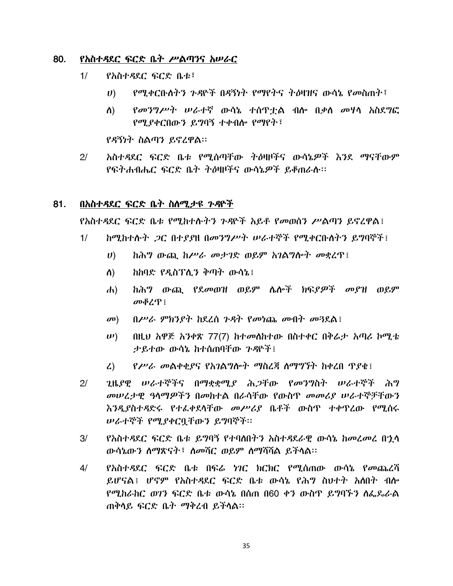#### 80. የአስተዳደር ፍርድ ቤት ሥልጣንና አሠራር

- $1/$ የአስተዳደር ፍርድ ቤቱ፣
	- $\boldsymbol{U}$ ) <u>የሚቀርቡስትን ጉዳዮች በዳኝነት የማየትና ትዕዛዝና ውሳኔ የመስጠት፣</u>
	- *የመንግሥት ሠራተ*ኛ ውሳኔ ተሰዋቷል ብሎ በ*ቃ*ስ መሃሳ አስደግፎ ስ) የሚያቀርበውን ይግባኝ ተቀብሎ የማየት፣

የዳኝነት ስልጣን ይኖረዋል።

አስተዳደር ፍርድ ቤቱ የሚሰጣቸው ትዕዛዞችና ውሳኔዎች እንደ ማናቸውም  $2^{1}$ የፍትሐብሔር ፍርድ ቤት ትዕዛዞችና ውሳኔዎች ይቆጠራሱ።

#### በአስተዳደር ፍርድ ቤት ስለሚታዩ ጉዳዮች 81.

<u>የአስተዳደር ፍርድ ቤቱ የሚከተሱትን ንዳዮች አይቶ የመወሰን ሥልጣን ይኖረዋል፤</u>

- $1/$ *ከሚከተሱት ጋር በተያያ*ዘ በ*መንግሥት ሠራተኞች የሚቀር*ቡስትን ይግባኞች፤
	- $\boldsymbol{U}$ ከሕግ ውጪ ከሥራ መታገድ ወይም አገልግሎት መቋረጥ፤
	- ከከባድ የዲስፕሊን ቅጣት ውሳኔ፤ ስ)
	- ከሕግ ውጪ የደመወዝ ወይም ሴሎች ክፍያዎች መያዝ ወይም  $\mathbf{d}$ መቆረጥ ፤
	- $0$ ሥራ ምክንያት ከደረሰ ጉዳት የመነጨ መብት መንደል፤  $\mathbf{\sigma}$ <sup> $\mathbf{0}$ </sup>
	- $\n \boldsymbol{\nu}$ ) በዚህ አዋጅ አንቀጽ 77(7) ከተመለከተው በስተቀር በቅሬታ አጣሪ ኮሚቴ ታይተው ውሳኔ ከተሰጠባቸው ንዳዮች፤
	- *የሥራ መ*ልቀቂያና የአገልግሎት ማስረጃ ስማግኘት ከቀረበ ጥያቂ፤  $\mathcal{L}$
- $2/$ ጊዜያዊ ሠራተኞችና በማቋቋሚያ ሕጋቸው የመንግስት ሠራተኞች ሕግ መሠረታዊ ዓላማዎችን በመከተል በራሳቸው የውስዋ መመሪያ ሠራተኞቻቸውን እንዲያስተዳድሩ የተፈቀደሳቸው *መሥሪ*ያ ቤቶች ውስጥ ተቀጥረው የሚሰሩ *ሠራተኞች የሚያቀርባቸ*ውን ይግባኞች።
- $3/$ የአስተዳደር ፍርድ ቤቱ ይግባኝ የተባለበትን አስተዳደራዊ ውሳኔ ከመረመረ በኂሳ ውሳኔውን ስማጽናት፣ ስመሻር ወይም ስማሻሻል ይችላል።
- $4/$ <u>የአስተዳደር ፍርድ ቤቱ በፍሬ *ነገ*ር ክርክር የሚሰጠው ውሳኔ የመጨረሻ</u> ይሆናል፤ ሆኖም የአስተዳደር ፍርድ ቤቱ ውሳኔ የሕግ ስህተት አለበት ብሎ የሚከራከር ወገን ፍርድ ቤቱ ውሳኔ በሰጠ በ60 ቀን ውስጥ ይግባኙን ስፌጼራል ጠቅሳይ ፍርድ ቤት ማቅረብ ይችሳል።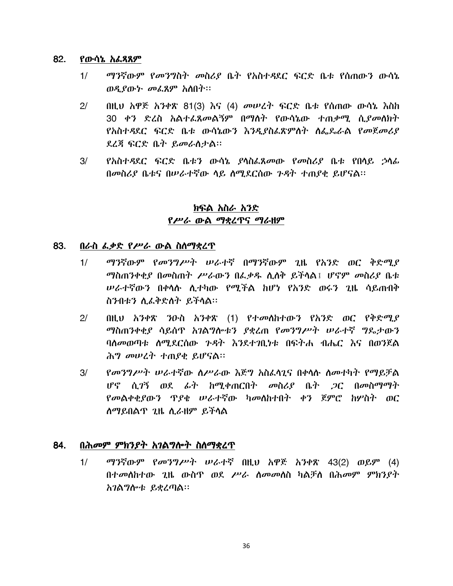#### 82. የውሳኔ አፌጻጸም

- ማንኛውም የመንግስት መስሪያ ቤት የአስተዳደር ፍርድ ቤቱ የሰጠውን ውሳኔ  $1/$ ወዲያውኑ መፌጸም አስበት፡፡
- $2/$ በዚህ አዋጅ አንቀጽ 81(3) እና (4) መሠረት ፍርድ ቤቱ የሰጠው ውሳኔ እስከ 30 ቀን ድረስ አልተራጸመልኝም በማሰት የውሳኔው ተጠቃሚ ሲያመለክት <u>የአስተዳደር ፍርድ ቤቱ ውሳኔውን እንዲያስፌጽምስት ስፌዴራል የመጀመሪያ</u> ደረጃ ፍርድ ቤት ይመራስታል።
- $3/$ የአስተዳደር ፍርድ ቤቱን ውሳኔ ያሳስፌጸመው የመስሪያ ቤቱ የበሳይ ኃሳፊ በመስሪያ ቤቱና በሠራተኛው ሳይ ስሚደርሰው ጉዳት ተጠያቂ ይሆናል፡፡

## ክፍል አስራ አንድ የሥራ ውል ማቋረጥና ማራዘም

#### 83. በራስ ፌቃድ የሥራ ውል ስስማቋረጥ

- ማንኛውም የመንግሥት ሠራተኛ በማንኛውም ጊዜ የአንድ ወር ቅድሚያ  $1/$ ማስጠንቀቂያ በመስጠት ሥራውን በፌቃዱ ሲሰቅ ይችሳል፤ ሆኖም መስሪያ ቤቱ *ሠራተኛ*ውን በቀሳሱ ሊተካው የሚችል ከሆነ የአንድ ወሩን ጊዜ ሳይጠብቅ ስንብቱን ሲፌቅድስት ይችሳል።
- $2/$ በዚህ አንቀጽ ንዑስ አንቀጽ (1) የተመሰከተውን የአንድ ወር የቅድሚያ *ማ*ስጠንቀቂያ ሳይሰዋ *አገ*ልግሎቱን ያቋረጠ የመንግሥት ሠራተኛ ግዴታውን ባለመወጣቱ ለማደርሰው ንዳት እንደተገበታቱ በፍትሐ ብሔር እና በወንጀል ሕግ መሠረት ተጠያቂ ይሆናል።
- የመንግሥት ሠራተኛው ስሥራው እጅግ አስፌሳጊና በቀሳሱ ስመተካት የማይቻል  $3/$ ሆኖ ሲገኝ ወደ ራት ከሚቀጠርበት መስሪያ ቤት *ጋ*ር በመስማማት የመልቀቂያውን ዋያቂ ሠራተኛው ካመለከተበት ቀን ጀምሮ ከሦስት ወር ሰማይበልጥ ጊዜ ሲራዘም ይችላል

#### 84. በሕመም ምክንያት አገልግሎት ስስማቋረጥ

ማንኛውም የመንግሥት ሠራተኛ በዚህ አዋጅ አንቀጽ 43(2) ወይም (4)  $1/$ በተመለከተው ጊዜ ውስዋ ወደ ሥራ ስመመለስ ካልቻስ በሕመም ምክንያት አገልግሎቱ ይቋረጣል።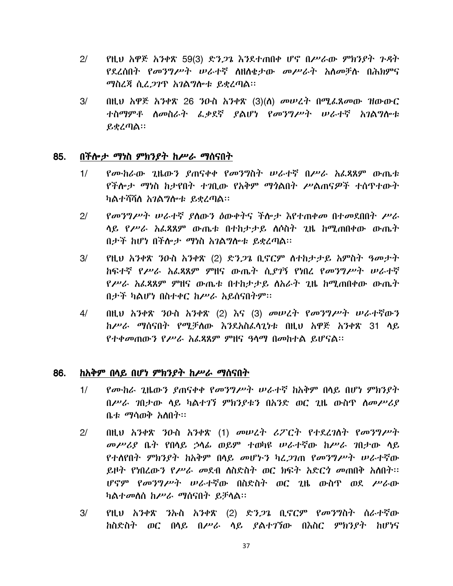- $2/$ የዚህ አዋጅ አንቀጽ 59(3) ድን*ጋ*ጌ እንደተጠበቀ ሆኖ በሥራው ምክንያት ጉዳት የደረሰበት የመንግሥት ሠራተኛ ስዘስቄታው መሥራት አስመቻሉ በሕክምና ማስረጃ ሲፈ*ጋገ*ጥ አ*ገ*ልግሎቱ ይቋረጣል፡፡
- በዚህ አዋጅ አንቀጽ 26 ንዑስ አንቀጽ (3)(ለ) መሠረት በሚፌጸመው ዝውውር  $3/$ ተስማምቶ ስመስራት ፌቃደኛ ያልሆነ የመንግሥት ሠራተኛ አገልግሎቱ ይቋረጣል።

#### በችሎታ ማነስ ምክንያት ከሥራ ማሰናበት 85.

- የሙከራው ጊዜውን ያጠናቀቀ የመንግስት ሠራተኛ በሥራ አፌጻጸም ውጤቱ  $1/$ የችሎታ ማነስ ከታየበት ተገበሙ የአቅም ማጎልበት ሥልጠናዎች ተሰጥተውት ካልተሻሻለ አ*ገ*ልግሎቱ ይቋረጣል።
- የመንግሥት ሠራተኛ ያስውን ዕውቀትና ችሎታ እየተጠቀመ በተመደበበት ሥራ  $2/$ ላይ የሥራ አፌጻጸም ውጤቱ በተከታታይ ለሶስት ጊዜ ከሚጠበቀው ውጤት በታች ከሆነ በችሎታ ማነስ አገልግሎቱ ይቋረጣል፡፡
- $3/$ የዚሀ አንቀጽ ንዑስ አንቀጽ (2) ድን*ጋ*ጌ ቢኖርም ስተከታታይ አምስት ዓመታት ከፍተኛ የሥራ አፌጻጸም ምዘና ውጤት ሲያገኝ የነበረ የመንግሥት ሠራተኛ የሥራ አፌጻጸም ምዘና ውጤቱ በተከታታይ ስአራት ጊዜ ከሚጠበቀው ውጤት በታች ካልሆነ በስተቀር ከሥራ አይሰናበትም፡፡
- በዚህ አንቀጽ ንዑስ አንቀጽ (2) እና (3) መሠረት የመንግሥት ሠራተኛውን  $4/$ ከሥራ ማሰናበት የሚቻለው እንደአስፈላጊነቱ በዚህ አዋጅ አንቀጽ 31 ላይ የተቀመጠውን የሥራ አፌጻጸም ምዘና ዓሳማ በመከተል ይሆናል።

#### 86. ከአቅም በሳይ በሆነ ምክንያት ከሥራ ማሰናበት

- $1/$ *የሙከራ ጊ*ዜው*ን ያ*ጠናቀቀ የ*መንግሥት ሠራተኛ ከአቅ*ም በላይ በሆነ ምክንደት በሥራ ገበታው ሳይ ካልተገኘ ምክንያቱን በአንድ ወር ጊዜ ውስጥ ስመሥሪያ ቤቱ ማሳወቅ አስበት።
- በዚህ አንቀጽ ንዑስ አንቀጽ (1) መሠረት ሪፖርት የተደረገስት የመንግሥት  $2/$ መሥሪያ ቤት የበሳይ ኃሳፊ ወይም ተወካዩ ሠራተኛው ከሥራ ገበታው ሳይ የተለየበት ምክንያት ከአቅም በላይ መሆኑን ካረ*ጋገ*ጠ የመንግሥት ሠራተኛው ይዞት የነበረውን የሥራ መደብ ስስድስት ወር ክፍት አድርጎ መጠበቅ አስበት። ሆኖም የመንግሥት ሠራተኛው በስድስት ወር ጊዜ ውስጥ ወደ ሥራው ካልተመሰሰ ከሥራ ማሰናበት ይቻሳል።
- $3/$ የዚህ አንቀጽ ንኡስ አንቀጽ (2) ድን*ጋጌ* ቢኖርም የ*መንግ*ስት ስራተኛው <u>ከስድስት ወር በላይ በሥራ ላይ ያልተገኘው በእስር ምክንያት ከሆነና</u>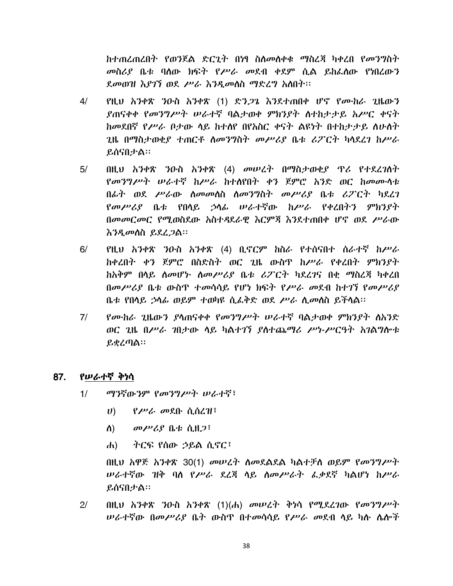ከተጠረጠረበት የወንጀል ድርጊት በነፃ ስለመለቀቁ ማስረጃ ካቀረበ የመንግስት መስሪያ ቤቱ ባሰው ክፍት የሥራ መደብ ቀደም ሲል ይከራሰው የነበረውን ደመወዝ እያገኘ ወደ ሥራ እንዲመስስ ማድረግ አስበት፡፡

- $4/$ የዚህ አንቀጽ ንዑስ አንቀጽ (1) ድን*ጋጌ* እንደተጠበቀ ሆኖ የሙከራ ጊዜውን ያጠናቀቀ የመንግሥት ሠራተኛ ባልታወቀ ምክንያት ስተከታታይ አሥር ቀናት ከመደበኛ የሥራ ቦታው ላይ ከተለየ በየአስር ቀናት ልዩነት በተከታታይ ሰሁለት ጊዜ በማስታወቂያ ተጠርቶ ስመንግስት መሥሪያ ቤቱ ሪፖርት ካሳደረገ ከሥራ ይሰናበታል።
- በዚህ አንቀጽ ንዑስ አንቀጽ (4) መሠረት በማስታወቂያ ዋሪ የተደረገለት  $5/$ የመንግሥት ሠራተኛ ከሥራ ከተሰየበት ቀን ጀምሮ አንድ ወር ከመሙሳቱ በፊት ወደ ሥራው ስመመስስ ስመንግስት መሥሪያ ቤቱ ሪፖርት ካደረገ የመሥሪያ ቤቱ የበሳይ ኃሳፊ ሠራተኛው ከሥራ የቀረበትን ምክንያት በመመርመር የሚወስደው አስተዳደራዊ እርምጃ እንደተጠበቀ ሆኖ ወደ ሥራው እንዲመስስ ይደረ*ጋ*ል።
- $6/$ የዚህ አንቀጽ ንዑስ አንቀጽ (4) ቢኖርም ከስራ የተሰናበተ ሰራተኛ ከሥራ ከቀረበት ቀን ጀምሮ በስድስት ወር ጊዜ ውስጥ ከሥራ የቀረበት ምክንያት ከአቅም በሳይ ሰመሆኑ ሰመሥሪያ ቤቱ ሪፖርት ካደረገና በቂ ማስረጃ ካቀረበ በመሥሪያ ቤቱ ውስዋ ተመሳሳይ የሆነ ክፍት የሥራ መደብ ከተገኘ የመሥሪያ ቤቱ የበሳይ ኃሳፊ ወይም ተወካዩ ሲፌቅድ ወደ ሥራ ሲመሰስ ይችሳል።
- $7/$ *የሙከራ ጊ*ዜውን ያሳጠናቀቀ የ*መንግሥት ሠራተ*ኛ ባልታወቀ ምክንያት ለአንድ ወር ጊዜ በሥራ ገበታው ሳይ ካልተገኘ ያስተጨማሪ ሥነ-ሥርዓት አገልግሎቱ ይቋረጣል፡፡

#### 87. የሠራተኛ ቅነሳ

- $1/$ ማንኛውንም የመንግሥት ሠራተኛ፣
	- $U$ ) የሥራ መደቡ ሲሰረዝ፣
	- ስ) -መሥሪያ ቤቱ ሲዘ*ጋ*፣
	- ተርፍ የሰው ኃይል ሲኖር፣  $\mathbf{d}$

በዚህ አዋጅ አንቀጽ 30(1) መሠረት ስመደልደል ካልተቻስ ወይም የመንግሥት *ሠ*ራተኛው ዝቅ ባስ የሥራ ደረጃ ሳይ ስመሥራት ፌቃደኛ ካልሆነ ከሥራ ይሰናበታል።

 $2/$  $0$ ዚህ አንቀጽ ንዑስ አንቀጽ  $(1)(d_1)$  መሠረት ቅነሳ የሚደረገው የመንግሥት *ሠራተኛ*ው በመሥሪያ ቤት ውስዋ በተመሳሳይ የሥራ መደብ ሳይ ካሱ ሴሎች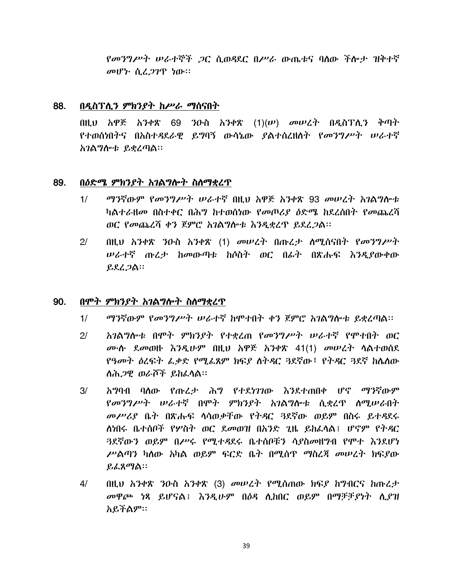*የመንግሥት ሠራተኞች ጋ*ር ሲወዳደር በሥራ ውጤቱና ባሰው ችሎታ ዝቅተኛ መሆኑ ሲፈ*ጋገ*ዋ ነው።

#### 88. በዲስፕሊን ምክንያት ከሥራ ማሰናበት

በዚህ አዋጅ አንቀጽ 69 ንዑስ አንቀጽ  $(1)(\nu)$  መሠረት በዲስፕሊን ቅጣት የተወሰነበትና በአስተዳደራዊ ይግባኝ ውሳኔው ያልተሰረዘሰት የመንግሥት ሠራተኛ አገልግሎቱ ይቋረጣል።

#### 89. በዕድሜ ምክንያት አገልግሎት ስስማቋረጥ

- ማንኛውም የመንግሥት ሠራተኛ በዚህ አዋጅ አንቀጽ 93 መሠረት አገልግሎቱ  $1/$ ካልተራዘመ በስተቀር በሕግ ከተወሰነው የመጦሪያ ዕድሜ ከደረሰበት የመጨረሻ ወር የመጨረሻ ቀን ጀምሮ አገልግሎቱ እንዲቋረጥ ይደረጋል፡፡
- በዚህ አንቀጽ ንዑስ አንቀጽ (1) መሠረት በጡረታ ሰሚሰናበት የመንግሥት  $2/$ *ሠ*ራተኛ ጡረታ ከመውጣቱ ከሶስት ወር በፊት በጽሑፍ እንዲያውቀው  $RLL2A$

#### በሞት ምክንያት አገልግሎት ስለማቋረጥ 90.

- ማንኛውም የመንግሥት ሠራተኛ ከሞተበት ቀን ጀምሮ አንልግሎቱ ይቋረጣል፡፡  $1/$
- አገልግሎቱ በሞት ምክንያት የተቋረጠ የመንግሥት ሠራተኛ የሞተበት ወር  $2/$ ሙሉ ደመወዙ እንዲሁም በዚህ አዋጅ አንቀጽ 41(1) መሠረት ሳልተወሰደ የዓመት ዕረፍት ፌቃድ የሚፌጸም ክፍያ ስትዳር ጓደኛው፣ የትዳር ጓደኛ ከሴስው ለሕ*ጋዊ ወራሾች ይከ*ፈሳል።
- $3/$ አግባብ ባለው የጡረታ ሕግ የተደነገገው እንደተጠበቀ ሆኖ ማንኛውም የመንግሥት ሠራተኛ በሞት ምክንያት አገልግሎቱ ሲቋረዋ ስሚሠራበት መሥሪያ ቤት በጽሑፍ ሳሳወቃቸው የትዳር 3ደኛው ወይም በስሩ ይተዳደሩ ለነበሩ ቤተሰቦች የሦስት ወር ደመወዝ በአንድ ጊዜ ይከፌሳል፤ ሆኖም የትዳር 3ደኛውን ወይም በሥሩ የማተዳደሩ ቤተሰቦቹን ሳየስመዘግብ የሞተ እንደሆነ ሥልጣን ካስው አካል ወይም ፍርድ ቤት በሚሰጥ ማስረጃ መሠረት ክፍያው ይፌጸማል።
- በዚህ አንቀጽ ንዑስ አንቀጽ (3) መሠረት የሚሰጠው ክፍያ ከግብርና ከጡረታ  $4/$ መዋጮ ነጻ ይሆናል፤ እንዲሁም በዕዳ ሲከበር ወይም በማቻቻይነት ሲያዝ አይችልም።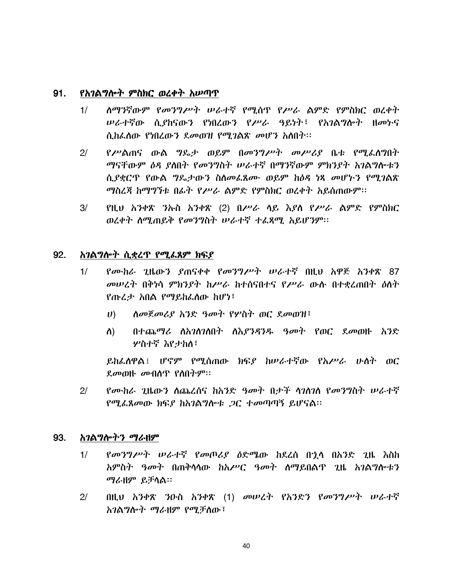#### $91.$ የአገልግሎት ምስክር ወረቀት አሥጣጥ

- ስማንኛውም የመንግሥት ሠራተኛ የሚሰጥ የሥራ ልምድ የምስክር ወረቀት  $1/$ ሥራተኛው ሲያከናውን የነበረውን የሥራ ዓይነት፣ የአገልግሎት ዘመኮና ሲከፌሰው የነበረውን ደመወዝ የሚገልጽ መሆን አስበት፡፡
- $2/$ *የሥ*ልጠና ውል *ግ*ዴታ ወይም በ*መንግሥት መሥሪያ* ቤቱ የሚፌስግበት ማናቸውም ዕዳ ያስበት የመንግስት ሠራተኛ በማንኛውም ምክንያት አገልግሎቱን ሲያቋርጥ የውል ግዴታውን ስስመፌጸሙ ወይም ከዕዳ ነጻ መሆኑን የሚገልጽ ማስረጃ ከማግኘቱ በፊት የሥራ ልምድ የምስክር ወረቀት አይሰጠውም፡፡
- $3/$ የዚህ አንቀጽ ንኡስ አንቀጽ (2) በሥራ ሳይ እያስ የሥራ ልምድ የምስክር ወረቀት ስሚጠይቅ የመንግስት ሠራተኛ ተፈጻሚ አይሆንም፡፡

#### 92. አገልግሎት ሲቋረጥ የሚፌጸም ክፍያ

- *የሙከራ ገ*ዜውን የጠናቀቀ የመንግሥት ሠራታኛ በዚህ አዋጅ አንቀጽ 87  $1/$ መሠረት በቅነሳ ምክንያት ከሥራ ከተሰናበተና የሥራ ውሱ በተቋረጠበት ዕለት የጡፈታ አበል የማይከፌሰው ከሆነ፣
	- ሰመጀመሪያ አንድ ዓመት የሦስት ወር ደመወዝ፣  $\boldsymbol{U}$ )
	- በተጨማሪ ስአገስገለበት ስእ*ያንዳንዱ ዓመት* የወር ደ*መ*ወዙ አንድ ስ) ሦስተኛ እየታከለ፣

ይከፌለዋል፤ ሆኖም የሚሰጠው ክፍደ ከሠራተኛው የአሥራ ሁለት ወር  $\ell$ መወዙ መብሰጥ የስበትም።

 $2/$ *የሙከራ ጊ*ዜውን ስጨረሰና ከአንድ *ዓመት* በታች ሳንስንስ የ*መን*ግስት ሠራተኛ የሚፌጸመው ክፍያ ከአገልግሎቱ *ጋ*ር ተመጣጣኝ ይሆናል፡፡

#### 93. *አገ*ልግሎትን ማራዘም

- *የመንግሥት ሠራተኛ የመጦሪያ ዕ*ድሜው ከደረሰ በኋሳ በአንድ ጊዜ *እ*ስከ  $1/$ አምስት *ዓመት* በጠቅሳሳው ከአሥር *ዓመት* ለማይበልጥ ጊዜ አገልግሎቱን ማራዘም ይቻሳል።
- $2/$ በዚህ አንቀጽ ንዑስ አንቀጽ (1) መሠረት የአንድን የመንግሥት ሠራተኛ አገልግሎት ማራዘም የሚቻለው፤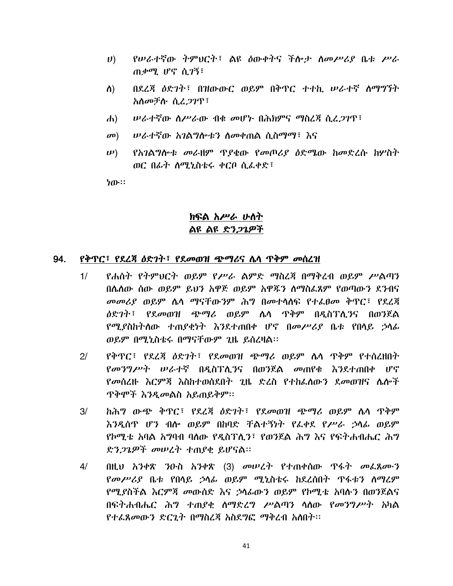- የሠራተኛው ትምህርት፣ ልዩ ዕውቀትና ችሎታ ስመሥሪያ ቤቱ ሥራ  $\boldsymbol{U}$ ) ጠቃሚ ሆኖ ሲገኝ፣
- ስ) በደረጃ ዕድንት፣ በዝውውር ወይም በቅጥር ተተኪ ሥራተኛ ስማግኘት አስመቻሉ ሲፈ*ጋገ*ጥ፣
- *ሠ*ራተኛው ስሥራው ብቁ መሆኑ በሕክምና ማስረጃ ሲፈ*ጋገ*ጥ፣  $\mathbf{d}$
- ሥራተኛው አገልግሎቱን ስመቀጠል ሲስማማ፣ እና  $\mathbf{D}$
- የአገልግሎቱ መራዘም ጥያቄው የመጦሪያ ዕድሜው ከመድረሱ ከሦስት  $(\boldsymbol{\nu})$ ወር በፊት ስሚኒስቴሩ ቀርቦ ሲፌቀድ፣

ነው።

# ክፍል አሥራ ሁስት ልዩ ልዩ ድን*ጋጌዎች*

#### የቅጥር፣ የደረጃ ዕድገት፣ የደመወዝ ጭማሪና ሴሳ ጥቅም መሰረዝ 94.

- የሐስት የትምህርት ወይም የሥራ ልምድ ማስረጃ በማቅረብ ወይም ሥልጣን  $1/$ በሌስው ሰው ወይም ይህን አዋጅ ወይም አዋጁን ስማስፌጸም የወጣውን ደንብና መመሪያ ወይም ሴሳ ማናቸውንም ሕግ በመተሳሰፍ የተፌፀመ ቅጥር፣ የደረጃ *ለ*ድንት፣ የደ*መ*ወዝ ጭማሪ ወይም ሌላ ዋቅም በዳስፕሊ*ን*ና በወንጀል የሚያስከትለው ተጠያቂነት እንደተጠበቀ ሆኖ በመሥሪያ ቤቱ የበላይ ኃላፊ ወይም በሚኒስቴሩ በማናቸውም ጊዜ ይሰረዛል፡፡
- የቅጥር፣ የደረጃ ዕድንት፣ የደመወዝ ጭማሪ ወይም ሌላ ጥቅም የተሰረዘበት  $2<sup>1</sup>$ *የመንግሥት ሠራተኛ* በዳስፕሊ*ን*ና በወንጀል *መ*ጠየቁ እንደተጠበቀ ሆኖ የመሰረዙ እርምጃ እስከተወሰደበት ጊዜ ድረስ የተከፌሰውን ደመወዝና ሴሎች <u> ጥቅሞች እንዲመልስ አይጠይቅም፡፡</u>
- ከሕግ ውጭ ቅጥር፣ የደረጃ ዕድገት፣ የደመወዝ ጭማሪ ወይም ሴሳ ጥቅም  $3/$ እንዲሰጥ ሆን ብሎ ወይም በከባድ ቸልተኝነት የፌቀደ የሥራ ኃሳፊ ወይም የኮማቴ አባል አግባብ ባለው የዳስፕለን፤ የወንጀል ሕግ እና የፍትሐብሔር ሕግ ድን*ጋጌዎች መሠረት ተ*ጠያቂ ይሆናል።
- በዚህ አንቀጽ ንዑስ አንቀጽ (3) መሠረት የተጠቀሰው ዋፋት መፌጸሙን  $4/$ *የመሥሪያ* ቤቱ የበሳይ ኃሳፊ ወይም ሚኒስቴሩ ከደረሰበት ጥፋቱን ስማሬም የሚደስችል እርምጃ መውሰድ እና ኃሳፊውን ወይም የኮሚቴ አባሉን በወንጀልና በፍትሐብሔር ሕግ ተጠያቂ ስማድረግ ሥልጣን ሳስው የመንግሥት አካል የተፌጸመውን ድርጊት በማስረጃ አስደግፎ ማቅረብ አለበት፡፡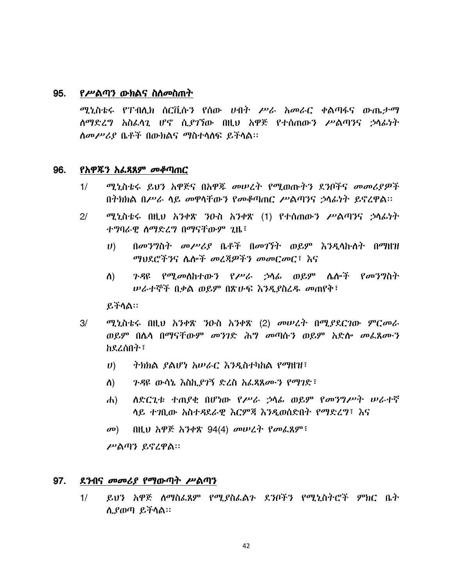#### 95. *የሥ*ልጣን ውክልና ስለ*መ*ስጠት

ሚኒስቴሩ የፐብሊክ ሰርቪሱን የሰው ሀብት ሥራ አመራር ቀልጣፋና ውጤታማ ሰማድረግ አስፈላጊ ሆኖ ሲያገኘው በዚህ አዋጅ የተሰጠውን ሥልጣንና ኃላፊነት *ስመሥሪያ* ቤቶች በውክልና ማስተሳሰፍ ይችሳል።

#### 96. <u>የአዋጁን አፌጻጸም መቆጣጠር</u>

- $1/$ ሚኒስቴሩ ይህን አዋጅና በአዋጁ መሠረት የሚወጡትን ደንቦችና መመሪያዎች በተክክል በሥራ ሳይ መዋሳቸውን የመቆጣጠር ሥልጣንና ኃሳፊነት ይኖረዋል።
- $2/$ ሚኒስቴሩ በዚህ አንቀጽ ንዑስ አንቀጽ (1) የተሰጠውን ሥልጣንና ኃላፊነት ተግባራዊ ስማድረግ በማናቸውም ጊዜ፣
	- በመንግስት መሥሪያ ቤቶች በመገኘት ወይም እንዲሳኩለት በማዘዝ  $\boldsymbol{U}$ ማህደሮችንና ሴሎች መረጃዎችን መመርመር፣ እና
	- *ጉዳ*ዩ የሚመለከተው*ን የሥራ ኃ*ሳፊ ወይም ሌሎች የመንግስት ስ) *ሠ*ራተኞች በቃል ወይም በጽሁፍ እንዲያስረዱ መጠየቅ፣

ይችሳል።

- ሚኒስቴሩ በዚህ አንቀጽ ንዑስ አንቀጽ (2) መሠረት በሚያደርገው ምርመራ  $3/$ ወይም በሴሳ በማናቸውም መንገድ ሕግ መጣሱን ወይም አድሱ መፌጸሙን ከደረሰበት፣
	- $\boldsymbol{U}$ ትክክል የልሆነ አሠራር እንዳስተካከል የማዘዝ፤
	- *ጉዳ*ዩ ውሳኔ እስኪ*ያገ*ኝ ድረስ አፌጻጸሙን የማገድ፣ ስ)
	- ለድርጊቱ ተጠያቂ በሆነው የሥራ ኃሳፊ ወይም የመንግሥት ሠራተኛ  $\mathbf{d}$ ላይ ተገቢው አስተዳደራዊ እርምጃ እንዲወሰድበት የማድረግ፣ እና
	- በዚህ አዋጅ አንቀጽ 94(4) መሠረት የመፌጸም፣  $\mathbf{C}(\mathbf{D})$

ሥልጣን ይኖረዋል።

#### 97. ደ*ን*ብና *መመሪያ የማ*ውጣት ሥልጣን

ይህን አዋጅ ሰማስፌጸም የሚያስፌልጉ ደንቦችን የሚኒስትሮች ምክር ቤት  $1/$ ሲያወጣ ይችሳል።